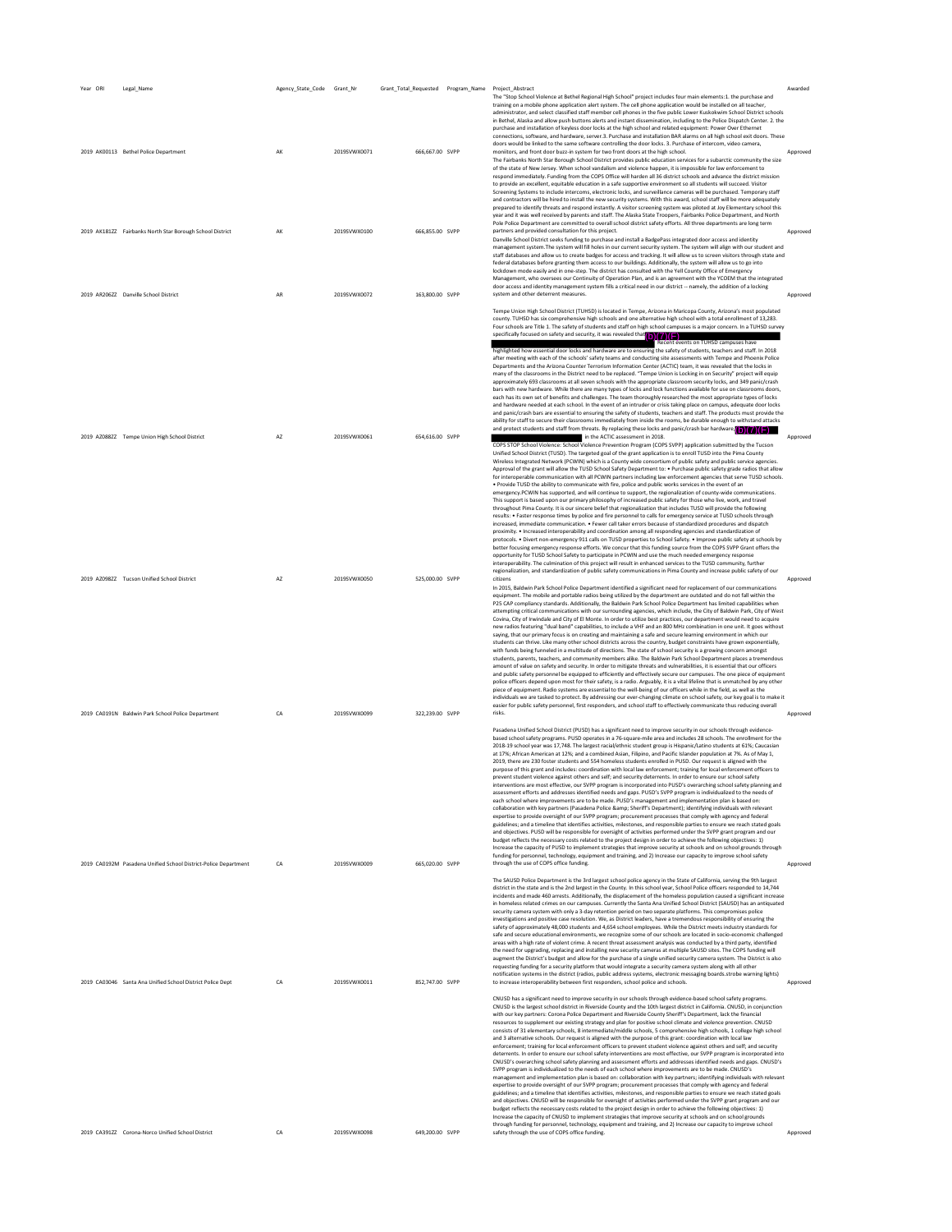| Year ORI | Legal_Name                                                      | Agency_State_Code Grant_Nr |              | Grant_Total_Requested Program_Name Project_Abstract |                                                                                                                                                                                                                                                                                                                                                                                                                                                                                                                                                                                                                                                                                                                                                                                                                                                                                                                                                                                                                                                                                                                                                                                                                                                                                                                                                                                                                                                                                                                                                                                                                                                                                                                                                                                                                                                                                                                                                                                                                                                                                                                                                                                                                                                                                                                                                                                                                                                                                                                                                                                                                                                                                                                                                                                                                                                                                                                                                                                                                                                                                                                                                                                                                                                                                                                                                                                                                                                                                                                                                                                         | Awarded  |
|----------|-----------------------------------------------------------------|----------------------------|--------------|-----------------------------------------------------|-----------------------------------------------------------------------------------------------------------------------------------------------------------------------------------------------------------------------------------------------------------------------------------------------------------------------------------------------------------------------------------------------------------------------------------------------------------------------------------------------------------------------------------------------------------------------------------------------------------------------------------------------------------------------------------------------------------------------------------------------------------------------------------------------------------------------------------------------------------------------------------------------------------------------------------------------------------------------------------------------------------------------------------------------------------------------------------------------------------------------------------------------------------------------------------------------------------------------------------------------------------------------------------------------------------------------------------------------------------------------------------------------------------------------------------------------------------------------------------------------------------------------------------------------------------------------------------------------------------------------------------------------------------------------------------------------------------------------------------------------------------------------------------------------------------------------------------------------------------------------------------------------------------------------------------------------------------------------------------------------------------------------------------------------------------------------------------------------------------------------------------------------------------------------------------------------------------------------------------------------------------------------------------------------------------------------------------------------------------------------------------------------------------------------------------------------------------------------------------------------------------------------------------------------------------------------------------------------------------------------------------------------------------------------------------------------------------------------------------------------------------------------------------------------------------------------------------------------------------------------------------------------------------------------------------------------------------------------------------------------------------------------------------------------------------------------------------------------------------------------------------------------------------------------------------------------------------------------------------------------------------------------------------------------------------------------------------------------------------------------------------------------------------------------------------------------------------------------------------------------------------------------------------------------------------------------------------------|----------|
|          | 2019 AK00113 Bethel Police Department                           | AK                         | 2019SVWX0071 | 666,667.00 SVPP                                     | The "Stop School Violence at Bethel Regional High School" project includes four main elements:1. the purchase and<br>training on a mobile phone application alert system. The cell phone application would be installed on all teacher,<br>administrator, and select classified staff member cell phones in the five public Lower Kuskokwim School District schools<br>in Bethel, Alaska and allow push buttons alerts and instant dissemination, including to the Police Dispatch Center. 2. the<br>purchase and installation of keyless door locks at the high school and related equipment: Power Over Ethernet<br>connections, software, and hardware, server.3. Purchase and installation BAR alarms on all high school exit doors. These<br>doors would be linked to the same software controlling the door locks. 3. Purchase of intercom, video camera,<br>moniitors, and front door buzz-in system for two front doors at the high school.<br>The Fairbanks North Star Borough School District provides public education services for a subarctic community the size<br>of the state of New Jersey. When school vandalism and violence happen, it is impossible for law enforcement to<br>respond immediately. Funding from the COPS Office will harden all 36 district schools and advance the district mission<br>to provide an excellent, equitable education in a safe supportive environment so all students will succeed. Visitor<br>Screening Systems to include intercoms, electronic locks, and surveillance cameras will be purchased. Temporary staff<br>and contractors will be hired to install the new security systems. With this award, school staff will be more adequately                                                                                                                                                                                                                                                                                                                                                                                                                                                                                                                                                                                                                                                                                                                                                                                                                                                                                                                                                                                                                                                                                                                                                                                                                                                                                                                                                                                                                                                                                                                                                                                                                                                                                                                                                                                                                                                                                   | Approved |
|          | 2019 AK181ZZ Fairbanks North Star Borough School District       | AK                         | 2019SVWX0100 | 666,855.00 SVPP                                     | prepared to identify threats and respond instantly. A visitor screening system was piloted at Joy Elementary school this<br>year and it was well received by parents and staff. The Alaska State Troopers, Fairbanks Police Department, and North<br>Pole Police Department are committed to overall school district safety efforts. All three departments are long term<br>partners and provided consultation for this project.<br>Danville School District seeks funding to purchase and install a BadgePass integrated door access and identity<br>management system. The system will fill holes in our current security system. The system will align with our student and<br>staff databases and allow us to create badges for access and tracking. It will allow us to screen visitors through state and<br>federal databases before granting them access to our buildings. Additionally, the system will allow us to go into<br>lockdown mode easily and in one-step. The district has consulted with the Yell County Office of Emergency                                                                                                                                                                                                                                                                                                                                                                                                                                                                                                                                                                                                                                                                                                                                                                                                                                                                                                                                                                                                                                                                                                                                                                                                                                                                                                                                                                                                                                                                                                                                                                                                                                                                                                                                                                                                                                                                                                                                                                                                                                                                                                                                                                                                                                                                                                                                                                                                                                                                                                                                        | Approved |
|          | 2019 AR206ZZ Danville School District                           | AR                         | 2019SVWX0072 | 163,800.00 SVPP                                     | Management, who oversees our Continuity of Operation Plan, and is an agreement with the YCOEM that the integrated<br>door access and identity management system fills a critical need in our district -- namely, the addition of a locking<br>system and other deterrent measures.<br>Tempe Union High School District (TUHSD) is located in Tempe, Arizona in Maricopa County, Arizona's most populated<br>county. TUHSD has six comprehensive high schools and one alternative high school with a total enrollment of 13,283.                                                                                                                                                                                                                                                                                                                                                                                                                                                                                                                                                                                                                                                                                                                                                                                                                                                                                                                                                                                                                                                                                                                                                                                                                                                                                                                                                                                                                                                                                                                                                                                                                                                                                                                                                                                                                                                                                                                                                                                                                                                                                                                                                                                                                                                                                                                                                                                                                                                                                                                                                                                                                                                                                                                                                                                                                                                                                                                                                                                                                                                         | Approved |
|          | 2019 AZ088ZZ Tempe Union High School District                   | AZ                         | 2019SVWX0061 | 654,616.00 SVPP                                     | Four schools are Title 1. The safety of students and staff on high school campuses is a major concern. In a TUHSD survey<br>specifically focused on safety and security, it was revealed that <b>by 7 (F)</b><br>cent events on TUHSD campuses hav<br>highlighted how essential door locks and hardware are to ensuring the safety of students, teachers and staff. In 2018<br>after meeting with each of the schools' safety teams and conducting site assessments with Tempe and Phoenix Police<br>Departments and the Arizona Counter Terrorism Information Center (ACTIC) team, it was revealed that the locks in<br>many of the classrooms in the District need to be replaced. "Tempe Union is Locking in on Security" project will equip<br>approximately 693 classrooms at all seven schools with the appropriate classroom security locks, and 349 panic/crash<br>bars with new hardware. While there are many types of locks and lock functions available for use on classrooms doors,<br>each has its own set of benefits and challenges. The team thoroughly researched the most appropriate types of locks<br>and hardware needed at each school. In the event of an intruder or crisis taking place on campus, adequate door locks<br>and panic/crash bars are essential to ensuring the safety of students, teachers and staff. The products must provide the<br>ability for staff to secure their classrooms immediately from inside the rooms, be durable enough to withstand attacks<br>and protect students and staff from threats. By replacing these locks and panic/crash bar hardware. (a)<br>in the ACTIC assessment in 2018.<br>COPS STOP School Violence: School Violence Prevention Program (COPS SVPP) application submitted by the Tucson<br>Unified School District (TUSD). The targeted goal of the grant application is to enroll TUSD into the Pima County<br>Wireless Integrated Network (PCWIN) which is a County wide consortium of public safety and public service agencies.<br>Approval of the grant will allow the TUSD School Safety Department to: . Purchase public safety grade radios that allow<br>for interoperable communication with all PCWIN partners including law enforcement agencies that serve TUSD schools.<br>. Provide TUSD the ability to communicate with fire, police and public works services in the event of an<br>emergency.PCWIN has supported, and will continue to support, the regionalization of county-wide communications.<br>This support is based upon our primary philosophy of increased public safety for those who live, work, and travel<br>throughout Pima County. It is our sincere belief that regionalization that includes TUSD will provide the following<br>results: • Faster response times by police and fire personnel to calls for emergency service at TUSD schools through<br>increased, immediate communication, . Fewer call taker errors because of standardized procedures and dispatch<br>proximity. • Increased interoperability and coordination among all responding agencies and standardization of<br>protocols. . Divert non-emergency 911 calls on TUSD properties to School Safety. . Improve public safety at schools by<br>better focusing emergency response efforts. We concur that this funding source from the COPS SVPP Grant offers the<br>opportunity for TUSD School Safety to participate in PCWIN and use the much needed emergency response<br>interoperability. The culmination of this project will result in enhanced services to the TUSD community, further | Approved |
|          | 2019 AZ098ZZ Tucson Unified School District                     | AZ                         | 2019SVWX0050 | 525,000.00 SVPP                                     | regionalization, and standardization of public safety communications in Pima County and increase public safety of our<br>In 2015, Baldwin Park School Police Department identified a significant need for replacement of our communications<br>equipment. The mobile and portable radios being utilized by the department are outdated and do not fall within the<br>P25 CAP compliancy standards. Additionally, the Baldwin Park School Police Department has limited capabilities when<br>attempting critical communications with our surrounding agencies, which include, the City of Baldwin Park, City of West<br>Covina, City of Irwindale and City of El Monte. In order to utilize best practices, our department would need to acquire<br>new radios featuring "dual band" capabilities, to include a VHF and an 800 MHz combination in one unit. It goes without<br>saying, that our primary focus is on creating and maintaining a safe and secure learning environment in which our<br>students can thrive. Like many other school districts across the country, budget constraints have grown exponentially,<br>with funds being funneled in a multitude of directions. The state of school security is a growing concern amongst<br>students, parents, teachers, and community members alike. The Baldwin Park School Department places a tremendous<br>amount of value on safety and security. In order to mitigate threats and vulnerabilities, it is essential that our officers<br>and public safety personnel be equipped to efficiently and effectively secure our campuses. The one piece of equipment<br>police officers depend upon most for their safety, is a radio. Arguably, it is a vital lifeline that is unmatched by any other<br>piece of equipment. Radio systems are essential to the well-being of our officers while in the field, as well as the<br>individuals we are tasked to protect. By addressing our ever-changing climate on school safety, our key goal is to make it                                                                                                                                                                                                                                                                                                                                                                                                                                                                                                                                                                                                                                                                                                                                                                                                                                                                                                                                                                                                                                                                                                                                                                                                                                                                                                                                                                                                                                                                                                                                                                     | Approved |
|          | 2019 CA0191N Baldwin Park School Police Department              | CA                         | 2019SVWX0099 | 322,239.00 SVPP                                     | easier for public safety personnel, first responders, and school staff to effectively communicate thus reducing overall<br>risks.<br>Pasadena Unified School District (PUSD) has a significant need to improve security in our schools through evidence-<br>based school safety programs. PUSD operates in a 76-square-mile area and includes 28 schools. The enrollment for the<br>2018-19 school year was 17,748. The largest racial/ethnic student group is Hispanic/Latino students at 61%; Caucasian<br>at 17%; African American at 12%; and a combined Asian, Filipino, and Pacific Islander population at 7%. As of May 1,<br>2019, there are 230 foster students and 554 homeless students enrolled in PUSD. Our request is aligned with the<br>purpose of this grant and includes: coordination with local law enforcement; training for local enforcement officers to<br>prevent student violence against others and self: and security deterrents. In order to ensure our school safety<br>interventions are most effective, our SVPP program is incorporated into PUSD's overarching school safety planning and<br>assessment efforts and addresses identified needs and gaps. PUSD's SVPP program is individualized to the needs of<br>each school where improvements are to be made. PUSD's management and implementation plan is based on:<br>collaboration with key partners (Pasadena Police &: Sheriff's Department): identifying individuals with relevant<br>expertise to provide oversight of our SVPP program; procurement processes that comply with agency and federal<br>guidelines; and a timeline that identifies activities, milestones, and responsible parties to ensure we reach stated goals<br>and objectives. PUSD will be responsible for oversight of activities performed under the SVPP grant program and our<br>budget reflects the necessary costs related to the project design in order to achieve the following objectives: 1)<br>Increase the capacity of PUSD to implement strategies that improve security at schools and on school grounds through                                                                                                                                                                                                                                                                                                                                                                                                                                                                                                                                                                                                                                                                                                                                                                                                                                                                                                                                                                                                                                                                                                                                                                                                                                                                                                                                                                                                                                                                                       | Approved |
|          | 2019 CA0192M Pasadena Unified School District-Police Department | CA                         | 2019SVWX0009 | 665,020.00 SVPP                                     | funding for personnel, technology, equipment and training, and 2) Increase our capacity to improve school safety<br>through the use of COPS office funding.<br>The SAUSD Police Department is the 3rd largest school police agency in the State of California, serving the 9th largest<br>district in the state and is the 2nd largest in the County. In this school year, School Police officers responded to 14,744<br>incidents and made 460 arrests. Additionally, the displacement of the homeless population caused a significant increase<br>in homeless related crimes on our campuses. Currently the Santa Ana Unified School District (SAUSD) has an antiquated<br>security camera system with only a 3-day retention period on two separate platforms. This compromises police<br>investigations and positive case resolution. We, as District leaders, have a tremendous responsibility of ensuring the<br>safety of approximately 48,000 students and 4,654 school employees. While the District meets industry standards for<br>safe and secure educational environments, we recognize some of our schools are located in socio-economic challenged<br>areas with a high rate of violent crime. A recent threat assessment analysis was conducted by a third party, identified<br>the need for upgrading, replacing and installing new security cameras at multiple SAUSD sites. The COPS funding will<br>augment the District's budget and allow for the purchase of a single unified security camera system. The District is also<br>requesting funding for a security platform that would integrate a security camera system along with all other<br>notification systems in the district (radios, public address systems, electronic messaging boards, strobe warning lights)                                                                                                                                                                                                                                                                                                                                                                                                                                                                                                                                                                                                                                                                                                                                                                                                                                                                                                                                                                                                                                                                                                                                                                                                                                                                                                                                                                                                                                                                                                                                                                                                                                                                                                                                                                                         | Approved |
|          | 2019 CA03046 Santa Ana Unified School District Police Dept      | CA                         | 2019SVWX0011 | 852,747.00 SVPP                                     | to increase interoperability between first responders, school police and schools.<br>CNUSD has a significant need to improve security in our schools through evidence-based school safety programs.<br>CNUSD is the largest school district in Riverside County and the 10th largest district in California, CNUSD, in conjunction<br>with our key partners: Corona Police Department and Riverside County Sheriff's Department, lack the financial<br>resources to supplement our existing strategy and plan for positive school climate and violence prevention. CNUSD<br>consists of 31 elementary schools, 8 intermediate/middle schools, 5 comprehensive high schools, 1 college high school<br>and 3 alternative schools. Our request is aligned with the purpose of this grant: coordination with local law<br>enforcement: training for local enforcement officers to prevent student violence against others and self: and security<br>deterrents. In order to ensure our school safety interventions are most effective, our SVPP program is incorporated into<br>CNUSD's overarching school safety planning and assessment efforts and addresses identified needs and gaps. CNUSD's<br>SVPP program is individualized to the needs of each school where improvements are to be made. CNUSD's<br>management and implementation plan is based on: collaboration with key partners; identifying individuals with relevant<br>expertise to provide oversight of our SVPP program; procurement processes that comply with agency and federal<br>guidelines; and a timeline that identifies activities, milestones, and responsible parties to ensure we reach stated goals<br>and objectives. CNUSD will be responsible for oversight of activities performed under the SVPP grant program and our<br>budget reflects the necessary costs related to the project design in order to achieve the following objectives: 1)<br>Increase the capacity of CNUSD to implement strategies that improve security at schools and on school grounds<br>through funding for personnel, technology, equipment and training, and 2) Increase our capacity to improve school                                                                                                                                                                                                                                                                                                                                                                                                                                                                                                                                                                                                                                                                                                                                                                                                                                                                                                                                                                                                                                                                                                                                                                                                                                                                                                                                                                                                                    | Approved |
|          | 2019 CA391ZZ Corona-Norco Unified School District               | CA                         | 2019SVWX0098 | 649,200.00 SVPP                                     | safety through the use of COPS office funding.                                                                                                                                                                                                                                                                                                                                                                                                                                                                                                                                                                                                                                                                                                                                                                                                                                                                                                                                                                                                                                                                                                                                                                                                                                                                                                                                                                                                                                                                                                                                                                                                                                                                                                                                                                                                                                                                                                                                                                                                                                                                                                                                                                                                                                                                                                                                                                                                                                                                                                                                                                                                                                                                                                                                                                                                                                                                                                                                                                                                                                                                                                                                                                                                                                                                                                                                                                                                                                                                                                                                          | Approved |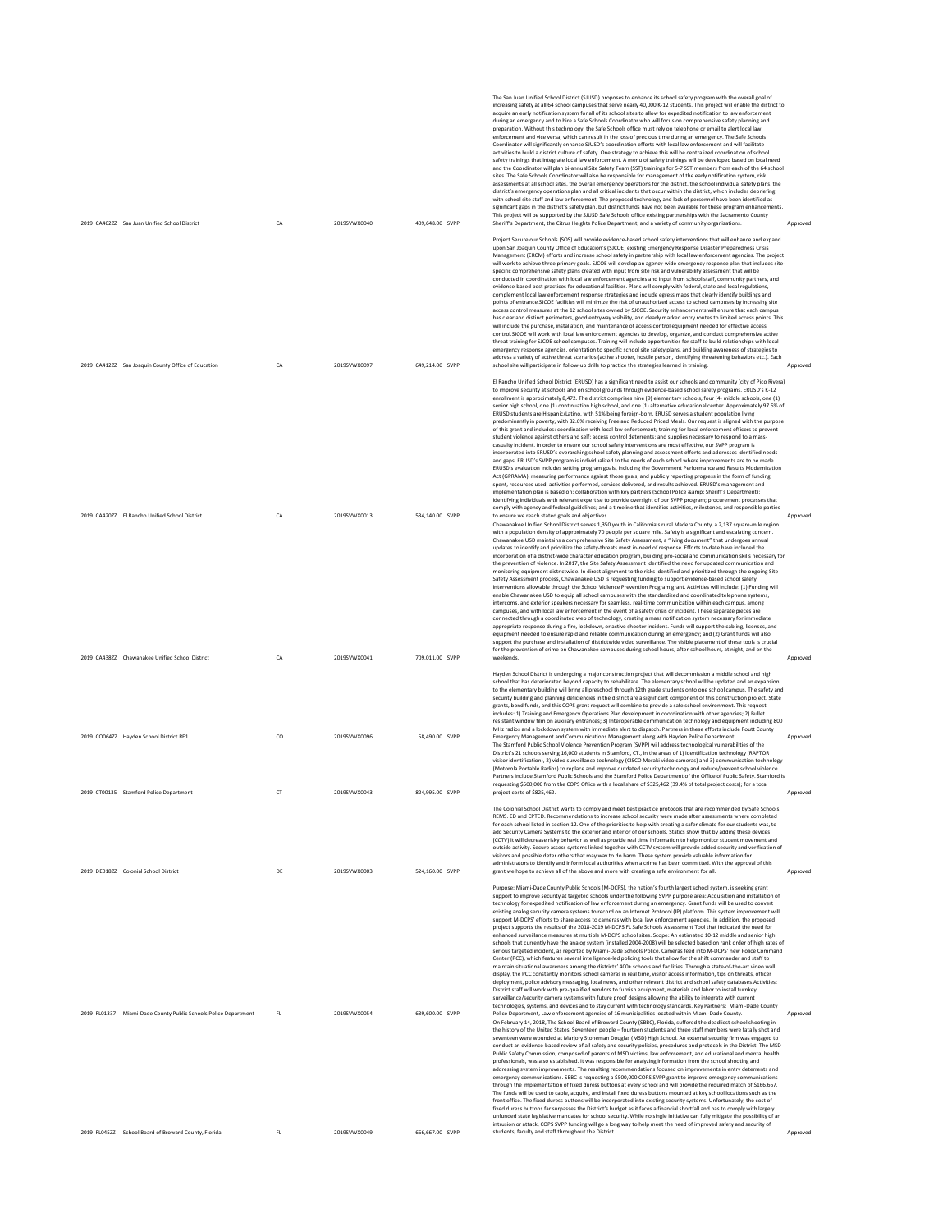| 2019 CA402ZZ San Juan Unified School District                                    | CA       | 2019SVWX0040                 | 409,648.00 SVPP                    | The San Juan Unified School District (SJUSD) proposes to enhance its school safety program with the overall goal of<br>increasing safety at all 64 school campuses that serve nearly 40,000 K-12 students. This project will enable the district to<br>acquire an early notification system for all of its school sites to allow for expedited notification to law enforcement<br>during an emergency and to hire a Safe Schools Coordinator who will focus on comprehensive safety planning and<br>preparation. Without this technology, the Safe Schools office must rely on telephone or email to alert local law<br>enforcement and vice versa, which can result in the loss of precious time during an emergency. The Safe Schools<br>Coordinator will significantly enhance SJUSD's coordination efforts with local law enforcement and will facilitate<br>activities to build a district culture of safety. One strategy to achieve this will be centralized coordination of school<br>safety trainings that integrate local law enforcement. A menu of safety trainings will be developed based on local need<br>and the Coordinator will plan bi-annual Site Safety Team (SST) trainings for 5-7 SST members from each of the 64 school<br>sites. The Safe Schools Coordinator will also be responsible for management of the early notification system, risk<br>assessments at all school sites, the overall emergency operations for the district, the school individual safety plans, the<br>district's emergency operations plan and all critical incidents that occur within the district, which includes debriefing<br>with school site staff and law enforcement. The proposed technology and lack of personnel have been identified as<br>significant gaps in the district's safety plan, but district funds have not been available for these program enhancements.<br>This project will be supported by the SJUSD Safe Schools office existing partnerships with the Sacramento County<br>Sheriff's Department, the Citrus Heights Police Department, and a variety of community organizations.                                                                                                                                                                                                                                                                                                                                                                                                                                                                                                                                                                                                                                                                                                                                                                                                                                                                                                                              | Approved             |
|----------------------------------------------------------------------------------|----------|------------------------------|------------------------------------|-------------------------------------------------------------------------------------------------------------------------------------------------------------------------------------------------------------------------------------------------------------------------------------------------------------------------------------------------------------------------------------------------------------------------------------------------------------------------------------------------------------------------------------------------------------------------------------------------------------------------------------------------------------------------------------------------------------------------------------------------------------------------------------------------------------------------------------------------------------------------------------------------------------------------------------------------------------------------------------------------------------------------------------------------------------------------------------------------------------------------------------------------------------------------------------------------------------------------------------------------------------------------------------------------------------------------------------------------------------------------------------------------------------------------------------------------------------------------------------------------------------------------------------------------------------------------------------------------------------------------------------------------------------------------------------------------------------------------------------------------------------------------------------------------------------------------------------------------------------------------------------------------------------------------------------------------------------------------------------------------------------------------------------------------------------------------------------------------------------------------------------------------------------------------------------------------------------------------------------------------------------------------------------------------------------------------------------------------------------------------------------------------------------------------------------------------------------------------------------------------------------------------------------------------------------------------------------------------------------------------------------------------------------------------------------------------------------------------------------------------------------------------------------------------------------------------------------------------------------------------------------------------------------------------------------------------------------------------------------------------------------------------------------------------|----------------------|
|                                                                                  |          |                              |                                    | Project Secure our Schools (SOS) will provide evidence-based school safety interventions that will enhance and expand<br>upon San Joaquin County Office of Education's (SJCOE) existing Emergency Response Disaster Preparedness Crisis<br>Management (ERCM) efforts and increase school safety in partnership with local law enforcement agencies. The project<br>will work to achieve three primary goals. SJCOE will develop an agency-wide emergency response plan that includes site-<br>specific comprehensive safety plans created with input from site risk and vulnerability assessment that will be<br>conducted in coordination with local law enforcement agencies and input from school staff, community partners, and<br>evidence-based best practices for educational facilities. Plans will comply with federal, state and local regulations,<br>complement local law enforcement response strategies and include egress maps that clearly identify buildings and<br>points of entrance.SJCOE facilities will minimize the risk of unauthorized access to school campuses by increasing site<br>access control measures at the 12 school sites owned by SJCOE. Security enhancements will ensure that each campus<br>has clear and distinct perimeters, good entryway visibility, and clearly marked entry routes to limited access points. This<br>will include the purchase, installation, and maintenance of access control equipment needed for effective access<br>control.SJCOE will work with local law enforcement agencies to develop, organize, and conduct comprehensive active<br>threat training for SJCOE school campuses. Training will include opportunities for staff to build relationships with local<br>emergency response agencies, orientation to specific school site safety plans, and building awareness of strategies to<br>address a variety of active threat scenarios (active shooter, hostile person, identifying threatening behaviors etc.). Each                                                                                                                                                                                                                                                                                                                                                                                                                                                                                                                                                                                                                                                                                                                                                                                                                                                                                                                                                                                                                                               |                      |
| 2019 CA412ZZ San Joaquin County Office of Education                              | CA       | 2019SVWX0097                 | 649,214.00 SVPP                    | school site will participate in follow-up drills to practice the strategies learned in training.<br>El Rancho Unified School District (ERUSD) has a significant need to assist our schools and community (city of Pico Rivera)<br>to improve security at schools and on school grounds through evidence-based school safety programs. ERUSD's K-12<br>enrollment is approximately 8,472. The district comprises nine (9) elementary schools, four (4) middle schools, one (1)<br>senior high school, one (1) continuation high school, and one (1) alternative educational center. Approximately 97.5% of<br>ERUSD students are Hispanic/Latino, with 51% being foreign-born. ERUSD serves a student population living<br>predominantly in poverty, with 82.6% receiving Free and Reduced Priced Meals. Our request is aligned with the purpose<br>of this grant and includes: coordination with local law enforcement; training for local enforcement officers to prevent<br>student violence against others and self; access control deterrents; and supplies necessary to respond to a mass-<br>casualty incident. In order to ensure our school safety interventions are most effective, our SVPP program is<br>incorporated into ERUSD's overarching school safety planning and assessment efforts and addresses identified needs<br>and gaps. ERUSD's SVPP program is individualized to the needs of each school where improvements are to be made.<br>ERUSD's evaluation includes setting program goals, including the Government Performance and Results Modernization<br>Act (GPRAMA), measuring performance against those goals, and publicly reporting progress in the form of funding<br>spent, resources used, activities performed, services delivered, and results achieved. ERUSD's management and<br>implementation plan is based on: collaboration with key partners (School Police & Sheriff's Department);<br>identifying individuals with relevant expertise to provide oversight of our SVPP program; procurement processes that<br>comply with agency and federal guidelines; and a timeline that identifies activities, milestones, and responsible parties                                                                                                                                                                                                                                                                                                                                                                                                                                                                                                                                                                                                                                                                                                                                                                                                                                                             | Approved             |
| 2019 CA420ZZ El Rancho Unified School District                                   | CA       | 2019SVWX0013                 | 534.140.00 SVPP                    | to ensure we reach stated goals and objectives.<br>Chawanakee Unified School District serves 1,350 youth in California's rural Madera County, a 2,137 square-mile region<br>with a population density of approximately 70 people per square mile. Safety is a significant and escalating concern.<br>Chawanakee USD maintains a comprehensive Site Safety Assessment, a "living document" that undergoes annual<br>updates to identify and prioritize the safety-threats most in-need of response. Efforts to-date have included the<br>incorporation of a district-wide character education program, building pro-social and communication skills necessary for<br>the prevention of violence. In 2017, the Site Safety Assessment identified the need for updated communication and<br>monitoring equipment districtwide. In direct alignment to the risks identified and prioritized through the ongoing Site<br>Safety Assessment process, Chawanakee USD is requesting funding to support evidence-based school safety<br>interventions allowable through the School Violence Prevention Program grant. Activities will include: (1) Funding will<br>enable Chawanakee USD to equip all school campuses with the standardized and coordinated telephone systems,<br>intercoms, and exterior speakers necessary for seamless, real-time communication within each campus, among<br>campuses, and with local law enforcement in the event of a safety crisis or incident. These separate pieces are<br>connected through a coordinated web of technology, creating a mass notification system necessary for immediate<br>appropriate response during a fire, lockdown, or active shooter incident. Funds will support the cabling, licenses, and<br>equipment needed to ensure rapid and reliable communication during an emergency; and (2) Grant funds will also<br>support the purchase and installation of districtwide video surveillance. The visible placement of these tools is crucial<br>for the prevention of crime on Chawanakee campuses during school hours, after-school hours, at night, and on the                                                                                                                                                                                                                                                                                                                                                                                                                                                                                                                                                                                                                                                                                                                                                                                                                                                                                                                          | Approved             |
| 2019 CA438ZZ Chawanakee Unified School District                                  | CA       | 2019SVWX0041                 | 709,011.00 SVPP                    | weekends.<br>Hayden School District is undergoing a major construction project that will decommission a middle school and high<br>school that has deteriorated beyond capacity to rehabilitate. The elementary school will be updated and an expansion<br>to the elementary building will bring all preschool through 12th grade students onto one school campus. The safety and<br>security building and planning deficiencies in the district are a significant component of this construction project. State<br>grants, bond funds, and this COPS grant request will combine to provide a safe school environment. This request<br>includes: 1) Training and Emergency Operations Plan development in coordination with other agencies: 2) Bullet<br>resistant window film on auxiliary entrances; 3) Interoperable communication technology and equipment including 800                                                                                                                                                                                                                                                                                                                                                                                                                                                                                                                                                                                                                                                                                                                                                                                                                                                                                                                                                                                                                                                                                                                                                                                                                                                                                                                                                                                                                                                                                                                                                                                                                                                                                                                                                                                                                                                                                                                                                                                                                                                                                                                                                                     | Approved             |
| 2019 CO064ZZ Havden School District RE1                                          | CO       | 2019SVWX0096                 | 58,490.00 SVPP                     | MHz radios and a lockdown system with immediate alert to dispatch. Partners in these efforts include Routt County<br>Emergency Management and Communications Management along with Hayden Police Department.<br>The Stamford Public School Violence Prevention Program (SVPP) will address technological vulnerabilities of the<br>District's 21 schools serving 16,000 students in Stamford, CT., in the areas of 1) identification technology (RAPTOR<br>visitor identification), 2) video surveillance technology (CISCO Meraki video cameras) and 3) communication technology<br>(Motorola Portable Radios) to replace and improve outdated security technology and reduce/prevent school violence.<br>Partners include Stamford Public Schools and the Stamford Police Department of the Office of Public Safety. Stamford is<br>requesting \$500,000 from the COPS Office with a local share of \$325,462 (39.4% of total project costs); for a total                                                                                                                                                                                                                                                                                                                                                                                                                                                                                                                                                                                                                                                                                                                                                                                                                                                                                                                                                                                                                                                                                                                                                                                                                                                                                                                                                                                                                                                                                                                                                                                                                                                                                                                                                                                                                                                                                                                                                                                                                                                                                     | Approved             |
| 2019 CT00135 Stamford Police Department<br>2019 DE018ZZ Colonial School District | CT<br>DE | 2019SVWX0043<br>2019SVWX0003 | 824.995.00 SVPP<br>524,160.00 SVPP | project costs of \$825,462.<br>The Colonial School District wants to comply and meet best practice protocols that are recommended by Safe Schools,<br>REMS. ED and CPTED. Recommendations to increase school security were made after assessments where completed<br>for each school listed in section 12. One of the priorities to help with creating a safer climate for our students was, to<br>add Security Camera Systems to the exterior and interior of our schools. Statics show that by adding these devices<br>(CCTV) it will decrease risky behavior as well as provide real time information to help monitor student movement and<br>outside activity. Secure assess systems linked together with CCTV system will provide added security and verification of<br>visitors and possible deter others that may way to do harm. These system provide valuable information for<br>administrators to identify and inform local authorities when a crime has been committed. With the approval of this<br>grant we hope to achieve all of the above and more with creating a safe environment for all.                                                                                                                                                                                                                                                                                                                                                                                                                                                                                                                                                                                                                                                                                                                                                                                                                                                                                                                                                                                                                                                                                                                                                                                                                                                                                                                                                                                                                                                                                                                                                                                                                                                                                                                                                                                                                                                                                                                                    | Approved<br>Approved |
| 2019 FL01337 Miami-Dade County Public Schools Police Department                  | FL       | 2019SVWX0054                 | 639,600.00 SVPP                    | Purpose: Miami-Dade County Public Schools (M-DCPS), the nation's fourth largest school system, is seeking grant<br>support to improve security at targeted schools under the following SVPP purpose area: Acquisition and installation of<br>technology for expedited notification of law enforcement during an emergency. Grant funds will be used to convert<br>existing analog security camera systems to record on an Internet Protocol (IP) platform. This system improvement will<br>support M-DCPS' efforts to share access to cameras with local law enforcement agencies. In addition, the proposed<br>project supports the results of the 2018-2019 M-DCPS FL Safe Schools Assessment Tool that indicated the need for<br>enhanced surveillance measures at multiple M-DCPS school sites. Scope: An estimated 10-12 middle and senior high<br>schools that currently have the analog system (installed 2004-2008) will be selected based on rank order of high rates of<br>serious targeted incident, as reported by Miami-Dade Schools Police, Cameras feed into M-DCPS' new Police Command<br>Center (PCC), which features several intelligence-led policing tools that allow for the shift commander and staff to<br>maintain situational awareness among the districts' 400+ schools and facilities. Through a state-of-the-art video wall<br>display, the PCC constantly monitors school cameras in real time, visitor access information, tips on threats, officer<br>deployment, police advisory messaging, local news, and other relevant district and school safety databases.Activities:<br>District staff will work with pre-qualified vendors to furnish equipment, materials and labor to install turnkey<br>surveillance/security camera systems with future proof designs allowing the ability to integrate with current<br>technologies, systems, and devices and to stay current with technology standards. Key Partners: Miami-Dade County<br>Police Department, Law enforcement agencies of 16 municipalities located within Miami-Dade County.<br>On February 14, 2018, The School Board of Broward County (SBBC), Florida, suffered the deadliest school shooting in<br>the history of the United States. Seventeen people - fourteen students and three staff members were fatally shot and<br>seventeen were wounded at Marjory Stoneman Douglas (MSD) High School. An external security firm was engaged to<br>conduct an evidence-based review of all safety and security policies, procedures and protocols in the District. The MSD<br>Public Safety Commission, composed of parents of MSD victims, law enforcement, and educational and mental health<br>professionals, was also established. It was responsible for analyzing information from the school shooting and<br>addressing system improvements. The resulting recommendations focused on improvements in entry deterrents and<br>emergency communications. SBBC is requesting a \$500,000 COPS SVPP grant to improve emergency communications | Approved             |
| 2019 FL045ZZ School Board of Broward County, Florida                             | FL       | 2019SVWX0049                 | 666,667.00 SVPP                    | through the implementation of fixed duress buttons at every school and will provide the required match of \$166,667.<br>The funds will be used to cable, acquire, and install fixed duress buttons mounted at key school locations such as the<br>front office. The fixed duress buttons will be incorporated into existing security systems. Unfortunately, the cost of<br>fixed duress buttons far surpasses the District's budget as it faces a financial shortfall and has to comply with largely<br>unfunded state legislative mandates for school security. While no single initiative can fully mitigate the possibility of an<br>intrusion or attack, COPS SVPP funding will go a long way to help meet the need of improved safety and security of<br>students, faculty and staff throughout the District.                                                                                                                                                                                                                                                                                                                                                                                                                                                                                                                                                                                                                                                                                                                                                                                                                                                                                                                                                                                                                                                                                                                                                                                                                                                                                                                                                                                                                                                                                                                                                                                                                                                                                                                                                                                                                                                                                                                                                                                                                                                                                                                                                                                                                             | Approved             |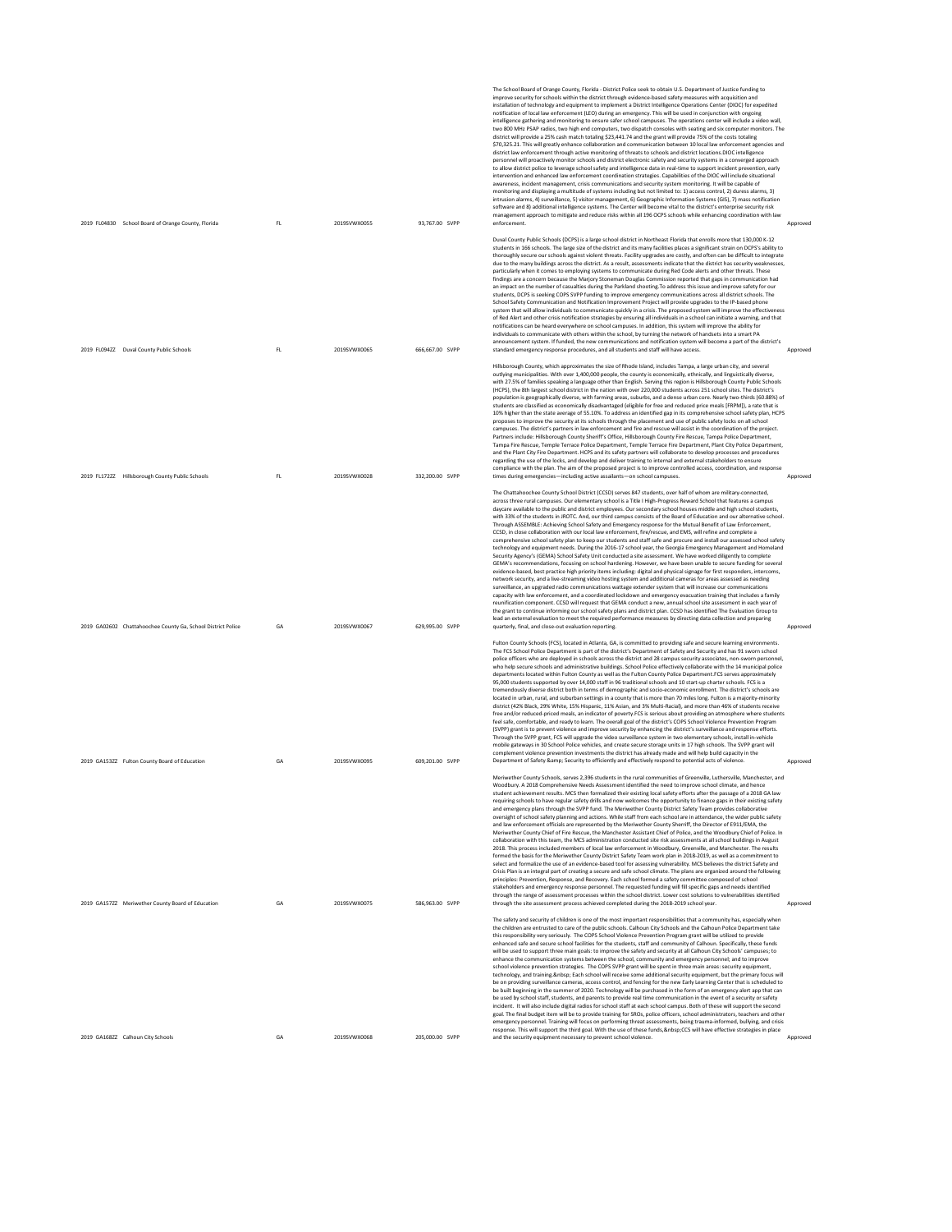| 2019 FL04830 School Board of Orange County, Florida          | FL | 2019SVWX0055 | 93,767.00 SVPP  | The School Board of Orange County, Florida - District Police seek to obtain U.S. Department of Justice funding to<br>improve security for schools within the district through evidence-based safety measures with acquisition and<br>installation of technology and equipment to implement a District Intelligence Operations Center (DIOC) for expedited<br>notification of local law enforcement (LEO) during an emergency. This will be used in conjunction with ongoing<br>intelligence gathering and monitoring to ensure safer school campuses. The operations center will include a video wall,<br>two 800 MHz PSAP radios, two high end computers, two dispatch consoles with seating and six computer monitors. The<br>district will provide a 25% cash match totaling \$23,441.74 and the grant will provide 75% of the costs totaling<br>\$70,325.21. This will greatly enhance collaboration and communication between 10 local law enforcement agencies and<br>district law enforcement through active monitoring of threats to schools and district locations.DIOC intelligence<br>personnel will proactively monitor schools and district electronic safety and security systems in a converged approach<br>to allow district police to leverage school safety and intelligence data in real-time to support incident prevention, early<br>intervention and enhanced law enforcement coordination strategies. Capabilities of the DIOC will include situational<br>awareness, incident management, crisis communications and security system monitoring. It will be capable of<br>monitoring and displaying a multitude of systems including but not limited to: 1) access control, 2) duress alarms, 3)<br>intrusion alarms, 4) surveillance, 5) visitor management, 6) Geographic Information Systems (GIS), 7) mass notification<br>software and 8) additional intelligence systems. The Center will become vital to the district's enterprise security risk<br>management approach to mitigate and reduce risks within all 196 OCPS schools while enhancing coordination with law<br>enforcement. | Approved |
|--------------------------------------------------------------|----|--------------|-----------------|----------------------------------------------------------------------------------------------------------------------------------------------------------------------------------------------------------------------------------------------------------------------------------------------------------------------------------------------------------------------------------------------------------------------------------------------------------------------------------------------------------------------------------------------------------------------------------------------------------------------------------------------------------------------------------------------------------------------------------------------------------------------------------------------------------------------------------------------------------------------------------------------------------------------------------------------------------------------------------------------------------------------------------------------------------------------------------------------------------------------------------------------------------------------------------------------------------------------------------------------------------------------------------------------------------------------------------------------------------------------------------------------------------------------------------------------------------------------------------------------------------------------------------------------------------------------------------------------------------------------------------------------------------------------------------------------------------------------------------------------------------------------------------------------------------------------------------------------------------------------------------------------------------------------------------------------------------------------------------------------------------------------------------------------------------------------------------------------------------------------|----------|
|                                                              |    |              |                 | Duval County Public Schools (DCPS) is a large school district in Northeast Florida that enrolls more that 130,000 K-12<br>students in 166 schools. The large size of the district and its many facilities places a significant strain on DCPS's ability to                                                                                                                                                                                                                                                                                                                                                                                                                                                                                                                                                                                                                                                                                                                                                                                                                                                                                                                                                                                                                                                                                                                                                                                                                                                                                                                                                                                                                                                                                                                                                                                                                                                                                                                                                                                                                                                           |          |
|                                                              |    |              |                 | thoroughly secure our schools against violent threats. Facility upgrades are costly, and often can be difficult to integrate<br>due to the many buildings across the district. As a result, assessments indicate that the district has security weaknesses,<br>particularly when it comes to employing systems to communicate during Red Code alerts and other threats. These<br>findings are a concern because the Marjory Stoneman Douglas Commission reported that gaps in communication had<br>an impact on the number of casualties during the Parkland shooting. To address this issue and improve safety for our<br>students, DCPS is seeking COPS SVPP funding to improve emergency communications across all district schools. The<br>School Safety Communication and Notification Improvement Project will provide upgrades to the IP-based phone<br>system that will allow individuals to communicate quickly in a crisis. The proposed system will improve the effectiveness<br>of Red Alert and other crisis notification strategies by ensuring all individuals in a school can initiate a warning, and that<br>notifications can be heard everywhere on school campuses. In addition, this system will improve the ability for<br>individuals to communicate with others within the school, by turning the network of handsets into a smart PA<br>announcement system. If funded, the new communications and notification system will become a part of the district's                                                                                                                                                                                                                                                                                                                                                                                                                                                                                                                                                                                                                                 |          |
| 2019 FL094ZZ Duval County Public Schools                     | FL | 2019SVWX0065 | 666,667.00 SVPP | standard emergency response procedures, and all students and staff will have access.                                                                                                                                                                                                                                                                                                                                                                                                                                                                                                                                                                                                                                                                                                                                                                                                                                                                                                                                                                                                                                                                                                                                                                                                                                                                                                                                                                                                                                                                                                                                                                                                                                                                                                                                                                                                                                                                                                                                                                                                                                 | Approved |
| 2019 FL172ZZ Hillsborough County Public Schools              | FL | 2019SVWX0028 | 332,200.00 SVPP | Hillsborough County, which approximates the size of Rhode Island, includes Tampa, a large urban city, and several<br>outlying municipalities. With over 1,400,000 people, the county is economically, ethnically, and linguistically diverse,<br>with 27.5% of families speaking a language other than English. Serving this region is Hillsborough County Public Schools<br>(HCPS), the 8th largest school district in the nation with over 220,000 students across 251 school sites. The district's<br>population is geographically diverse, with farming areas, suburbs, and a dense urban core. Nearly two-thirds (60.88%) of<br>students are classified as economically disadvantaged (eligible for free and reduced price meals [FRPM]), a rate that is<br>10% higher than the state average of 55.10%. To address an identified gap in its comprehensive school safety plan, HCPS<br>proposes to improve the security at its schools through the placement and use of public safety locks on all school<br>campuses. The district's partners in law enforcement and fire and rescue will assist in the coordination of the project.<br>Partners include: Hillsborough County Sheriff's Office, Hillsborough County Fire Rescue, Tampa Police Department,<br>Tampa Fire Rescue, Temple Terrace Police Department, Temple Terrace Fire Department, Plant City Police Department,<br>and the Plant City Fire Department. HCPS and its safety partners will collaborate to develop processes and procedures<br>regarding the use of the locks, and develop and deliver training to internal and external stakeholders to ensure<br>compliance with the plan. The aim of the proposed project is to improve controlled access, coordination, and response<br>times during emergencies-including active assailants-on school campuses.                                                                                                                                                                                                                                                                              | Approved |
|                                                              |    |              |                 | The Chattahoochee County School District (CCSD) serves 847 students, over half of whom are military-connected,<br>across three rural campuses. Our elementary school is a Title I High-Progress Reward School that features a campus                                                                                                                                                                                                                                                                                                                                                                                                                                                                                                                                                                                                                                                                                                                                                                                                                                                                                                                                                                                                                                                                                                                                                                                                                                                                                                                                                                                                                                                                                                                                                                                                                                                                                                                                                                                                                                                                                 |          |
| 2019 GA02602 Chattahoochee County Ga, School District Police | GA | 2019SVWX0067 | 629,995.00 SVPP | daycare available to the public and district employees. Our secondary school houses middle and high school students,<br>with 33% of the students in JROTC. And, our third campus consists of the Board of Education and our alternative school.<br>Through ASSEMBLE: Achieving School Safety and Emergency response for the Mutual Benefit of Law Enforcement,<br>CCSD, in close collaboration with our local law enforcement, fire/rescue, and EMS, will refine and complete a<br>comprehensive school safety plan to keep our students and staff safe and procure and install our assessed school safety<br>technology and equipment needs. During the 2016-17 school year, the Georgia Emergency Management and Homeland<br>Security Agency's (GEMA) School Safety Unit conducted a site assessment. We have worked diligently to complete<br>GEMA's recommendations, focusing on school hardening. However, we have been unable to secure funding for several<br>evidence-based, best practice high priority items including: digital and physical signage for first responders, intercoms,<br>network security, and a live-streaming video hosting system and additional cameras for areas assessed as needing<br>surveillance, an upgraded radio communications wattage extender system that will increase our communications<br>capacity with law enforcement, and a coordinated lockdown and emergency evacuation training that includes a family<br>reunification component. CCSD will request that GEMA conduct a new, annual school site assessment in each year of<br>the grant to continue informing our school safety plans and district plan. CCSD has identified The Evaluation Group to<br>lead an external evaluation to meet the required performance measures by directing data collection and preparing<br>quarterly, final, and close-out evaluation reporting.                                                                                                                                                                                                                                | Approved |
|                                                              |    |              |                 | Fulton County Schools (FCS), located in Atlanta, GA, is committed to providing safe and secure learning environments.<br>The FCS School Police Department is part of the district's Department of Safety and Security and has 91 sworn school                                                                                                                                                                                                                                                                                                                                                                                                                                                                                                                                                                                                                                                                                                                                                                                                                                                                                                                                                                                                                                                                                                                                                                                                                                                                                                                                                                                                                                                                                                                                                                                                                                                                                                                                                                                                                                                                        |          |
|                                                              |    |              |                 | police officers who are deployed in schools across the district and 28 campus security associates, non-sworn personnel,<br>who help secure schools and administrative buildings. School Police effectively collaborate with the 14 municipal police<br>departments located within Fulton County as well as the Fulton County Police Department.FCS serves approximately<br>95,000 students supported by over 14,000 staff in 96 traditional schools and 10 start-up charter schools. FCS is a<br>tremendously diverse district both in terms of demographic and socio-economic enrollment. The district's schools are<br>located in urban, rural, and suburban settings in a county that is more than 70 miles long. Fulton is a majority-minority<br>district (42% Black, 29% White, 15% Hispanic, 11% Asian, and 3% Multi-Racial), and more than 46% of students receive<br>free and/or reduced-priced meals, an indicator of poverty.FCS is serious about providing an atmosphere where students<br>feel safe, comfortable, and ready to learn. The overall goal of the district's COPS School Violence Prevention Program<br>(SVPP) grant is to prevent violence and improve security by enhancing the district's surveillance and response efforts.<br>Through the SVPP grant, FCS will upgrade the video surveillance system in two elementary schools, install in-vehicle<br>mobile gateways in 30 School Police vehicles, and create secure storage units in 17 high schools. The SVPP grant will<br>complement violence prevention investments the district has already made and will help build capacity in the                                                                                                                                                                                                                                                                                                                                                                                                                                                                                            |          |
| 2019 GA153ZZ Fulton County Board of Education                | GA | 2019SVWX0095 | 609,201.00 SVPP | Department of Safety & Security to efficiently and effectively respond to potential acts of violence.<br>Meriwether County Schools, serves 2,396 students in the rural communities of Greenville, Luthersville, Manchester, and                                                                                                                                                                                                                                                                                                                                                                                                                                                                                                                                                                                                                                                                                                                                                                                                                                                                                                                                                                                                                                                                                                                                                                                                                                                                                                                                                                                                                                                                                                                                                                                                                                                                                                                                                                                                                                                                                      | Approved |
| 2019 GA157ZZ Meriwether County Board of Education            | GA | 2019SVWX0075 | 586,963.00 SVPP | Woodbury. A 2018 Comprehensive Needs Assessment identified the need to improve school climate, and hence<br>student achievement results. MCS then formalized their existing local safety efforts after the passage of a 2018 GA law<br>requiring schools to have regular safety drills and now welcomes the opportunity to finance gaps in their existing safety<br>and emergency plans through the SVPP fund. The Meriwether County District Safety Team provides collaborative<br>oversight of school safety planning and actions. While staff from each school are in attendance, the wider public safety<br>and law enforcement officials are represented by the Meriwether County Sherriff, the Director of E911/EMA, the<br>Meriwether County Chief of Fire Rescue, the Manchester Assistant Chief of Police, and the Woodbury Chief of Police. In<br>collaboration with this team, the MCS administration conducted site risk assessments at all school buildings in August<br>2018. This process included members of local law enforcement in Woodbury, Greenville, and Manchester. The results<br>formed the basis for the Meriwether County District Safety Team work plan in 2018-2019, as well as a commitment to<br>select and formalize the use of an evidence-based tool for assessing vulnerability. MCS believes the district Safety and<br>Crisis Plan is an integral part of creating a secure and safe school climate. The plans are organized around the following<br>principles: Prevention, Response, and Recovery. Each school formed a safety committee composed of school<br>stakeholders and emergency response personnel. The requested funding will fill specific gaps and needs identified<br>through the range of assessment processes within the school district. Lower cost solutions to vulnerabilities identified<br>through the site assessment process achieved completed during the 2018-2019 school year.                                                                                                                                                                     | Approved |
|                                                              |    |              |                 | The safety and security of children is one of the most important responsibilities that a community has, especially when                                                                                                                                                                                                                                                                                                                                                                                                                                                                                                                                                                                                                                                                                                                                                                                                                                                                                                                                                                                                                                                                                                                                                                                                                                                                                                                                                                                                                                                                                                                                                                                                                                                                                                                                                                                                                                                                                                                                                                                              |          |
|                                                              |    |              |                 | the children are entrusted to care of the public schools. Calhoun City Schools and the Calhoun Police Department take<br>this responsibility very seriously. The COPS School Violence Prevention Program grant will be utilized to provide<br>enhanced safe and secure school facilities for the students, staff and community of Calhoun. Specifically, these funds<br>will be used to support three main goals: to improve the safety and security at all Calhoun City Schools' campuses; to<br>enhance the communication systems between the school, community and emergency personnel; and to improve<br>school violence prevention strategies. The COPS SVPP grant will be spent in three main areas: security equipment,<br>technology, and training.  Each school will receive some additional security equipment, but the primary focus will<br>be on providing surveillance cameras, access control, and fencing for the new Early Learning Center that is scheduled to<br>be built beginning in the summer of 2020. Technology will be purchased in the form of an emergency alert app that can<br>be used by school staff, students, and parents to provide real time communication in the event of a security or safety<br>incident. It will also include digital radios for school staff at each school campus. Both of these will support the second<br>goal. The final budget item will be to provide training for SROs, police officers, school administrators, teachers and other<br>emergency personnel. Training will focus on performing threat assessments, being trauma-informed, bullying, and crisis                                                                                                                                                                                                                                                                                                                                                                                                                                                                                         |          |
| 2019 GA168ZZ Calhoun City Schools                            | GA | 2019SVWX0068 | 205,000.00 SVPP | response. This will support the third goal. With the use of these funds,  CCS will have effective strategies in place<br>and the security equipment necessary to prevent school violence.                                                                                                                                                                                                                                                                                                                                                                                                                                                                                                                                                                                                                                                                                                                                                                                                                                                                                                                                                                                                                                                                                                                                                                                                                                                                                                                                                                                                                                                                                                                                                                                                                                                                                                                                                                                                                                                                                                                            | Approved |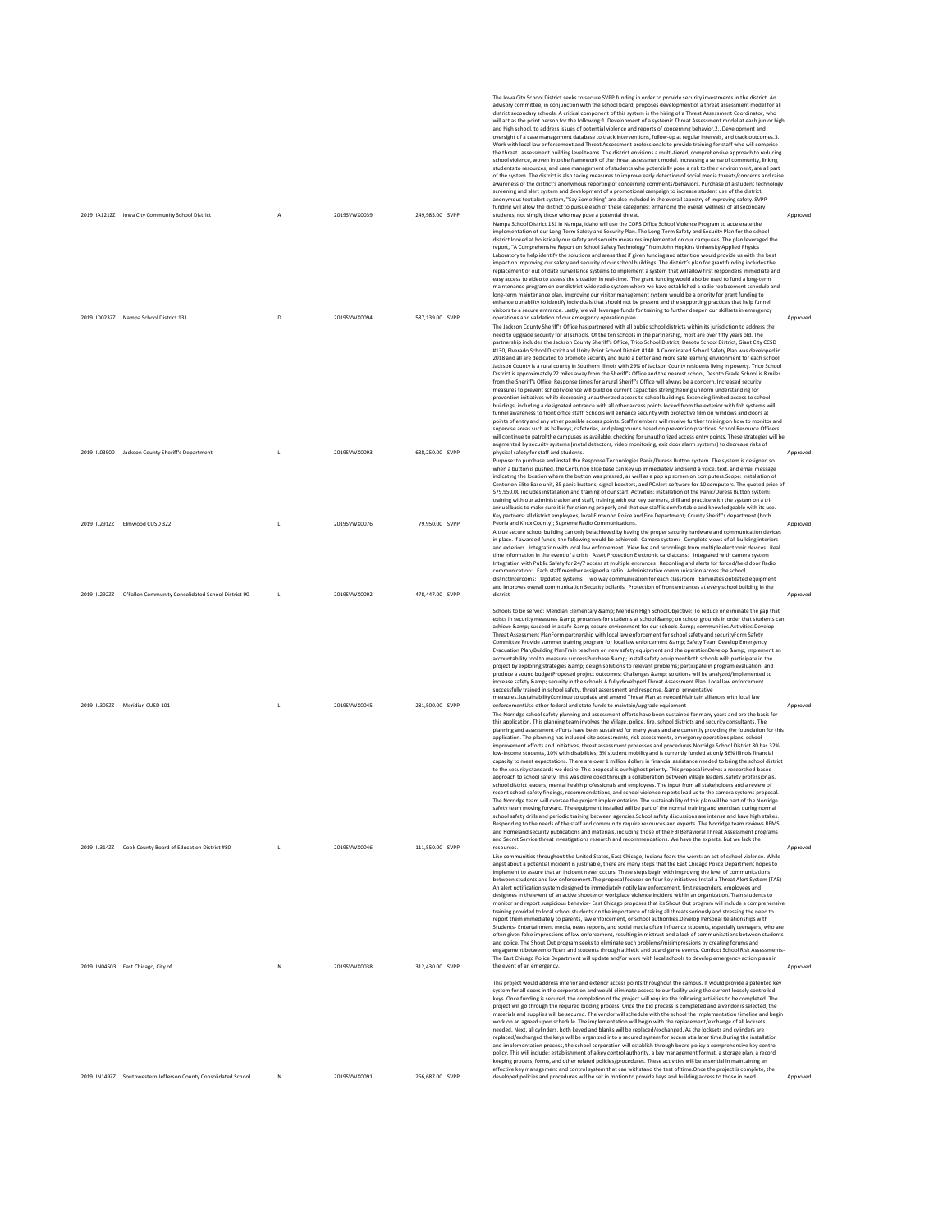| 2019 IA121ZZ lowa City Community School District                | <b>IA</b>    | 2019SVWX0039 | 249,985.00 SVPP | The lowa City School District seeks to secure SVPP funding in order to provide security investments in the district. An<br>advisory committee, in conjunction with the school board, proposes development of a threat assessment model for all<br>district secondary schools. A critical component of this system is the hiring of a Threat Assessment Coordinator, who<br>will act as the point person for the following:1. Development of a systemic Threat Assessment model at each junior high<br>and high school, to address issues of potential violence and reports of concerning behavior.2 Development and<br>oversight of a case management database to track interventions, follow-up at regular intervals, and track outcomes.3.<br>Work with local law enforcement and Threat Assessment professionals to provide training for staff who will comprise<br>the threat assessment building level teams. The district envisions a multi-tiered, comprehensive approach to reducing<br>school violence, woven into the framework of the threat assessment model. Increasing a sense of community, linking<br>students to resources, and case management of students who potentially pose a risk to their environment, are all part<br>of the system. The district is also taking measures to improve early detection of social media threats/concerns and raise<br>awareness of the district's anonymous reporting of concerning comments/behaviors. Purchase of a student technology<br>screening and alert system and development of a promotional campaign to increase student use of the district<br>anonymous text alert system, "Say Something" are also included in the overall tapestry of improving safety. SVPP<br>funding will allow the district to pursue each of these categories; enhancing the overall wellness of all secondary<br>students, not simply those who may pose a potential threat.                                                                                                                                                   | Approved |
|-----------------------------------------------------------------|--------------|--------------|-----------------|----------------------------------------------------------------------------------------------------------------------------------------------------------------------------------------------------------------------------------------------------------------------------------------------------------------------------------------------------------------------------------------------------------------------------------------------------------------------------------------------------------------------------------------------------------------------------------------------------------------------------------------------------------------------------------------------------------------------------------------------------------------------------------------------------------------------------------------------------------------------------------------------------------------------------------------------------------------------------------------------------------------------------------------------------------------------------------------------------------------------------------------------------------------------------------------------------------------------------------------------------------------------------------------------------------------------------------------------------------------------------------------------------------------------------------------------------------------------------------------------------------------------------------------------------------------------------------------------------------------------------------------------------------------------------------------------------------------------------------------------------------------------------------------------------------------------------------------------------------------------------------------------------------------------------------------------------------------------------------------------------------------------------------------------------------------------------|----------|
|                                                                 |              |              |                 | Nampa School District 131 in Nampa, Idaho will use the COPS Office School Violence Program to accelerate the<br>implementation of our Long-Term Safety and Security Plan. The Long-Term Safety and Security Plan for the school<br>district looked at holistically our safety and security measures implemented on our campuses. The plan leveraged the<br>report, "A Comprehensive Report on School Safety Technology" from John Hopkins University Applied Physics<br>Laboratory to help identify the solutions and areas that if given funding and attention would provide us with the best<br>impact on improving our safety and security of our school buildings. The district's plan for grant funding includes the<br>replacement of out of date surveillance systems to implement a system that will allow first responders immediate and<br>easy access to video to assess the situation in real-time. The grant funding would also be used to fund a long-term<br>maintenance program on our district-wide radio system where we have established a radio replacement schedule and<br>long-term maintenance plan. Improving our visitor management system would be a priority for grant funding to<br>enhance our ability to identify individuals that should not be present and the supporting practices that help funnel<br>visitors to a secure entrance. Lastly, we will leverage funds for training to further deepen our skillsets in emergency                                                                                                                                                                                                                                                                                                                                                                                                                                                                                                                                                                                                            |          |
| 2019 ID023ZZ Nampa School District 131                          | ID           | 2019SVWX0094 | 587,139.00 SVPP | operations and validation of our emergency operation plan.<br>The Jackson County Sheriff's Office has partnered with all public school districts within its jurisdiction to address the<br>need to upgrade security for all schools. Of the ten schools in the partnership, most are over fifty years old. The<br>partnership includes the Jackson County Sheriff's Office, Trico School District, Desoto School District, Giant City CCSD<br>#130, Elverado School District and Unity Point School District #140. A Coordinated School Safety Plan was developed in<br>2018 and all are dedicated to promote security and build a better and more safe learning environment for each school.<br>Jackson County is a rural county in Southern Illinois with 29% of Jackson County residents living in poverty. Trico School<br>District is approximately 22 miles away from the Sheriff's Office and the nearest school, Desoto Grade School is 8 miles<br>from the Sheriff's Office. Response times for a rural Sheriff's Office will always be a concern. Increased security<br>measures to prevent school violence will build on current capacities strengthening uniform understanding for<br>prevention initiatives while decreasing unauthorized access to school buildings. Extending limited access to school<br>buildings, including a designated entrance with all other access points locked from the exterior with fob systems will<br>funnel awareness to front office staff. Schools will enhance security with protective film on windows and doors at<br>points of entry and any other possible access points. Staff members will receive further training on how to monitor and<br>supervise areas such as hallways, cafeterias, and playgrounds based on prevention practices. School Resource Officers<br>will continue to patrol the campuses as available, checking for unauthorized access entry points. These strategies will be<br>augmented by security systems (metal detectors, video monitoring, exit door alarm systems) to decrease risks of | Approved |
| 2019 IL03900 Jackson County Sheriff's Department                | $\mathsf{L}$ | 2019SVWX0093 | 638.250.00 SVPP | physical safety for staff and students.<br>Purpose: to purchase and install the Response Technologies Panic/Duress Button system. The system is designed so<br>when a button is pushed, the Centurion Elite base can key up immediately and send a voice, text, and email message<br>indicating the location where the button was pressed, as well as a pop up screen on computers.Scope: installation of<br>Centurion Elite Base unit, 85 panic buttons, signal boosters, and PCAlert software for 10 computers. The quoted price of<br>\$79,950.00 includes installation and training of our staff. Activities: installation of the Panic/Duress Button system;<br>training with our administration and staff, training with our key partners, drill and practice with the system on a tri-<br>annual basis to make sure it is functioning properly and that our staff is comfortable and knowledgeable with its use.                                                                                                                                                                                                                                                                                                                                                                                                                                                                                                                                                                                                                                                                                                                                                                                                                                                                                                                                                                                                                                                                                                                                                    | Approved |
| 2019 IL291ZZ Elmwood CUSD 322                                   |              | 2019SVWX0076 | 79,950.00 SVPP  | Key partners: all district employees; local Elmwood Police and Fire Department; County Sheriff's department (both<br>Peoria and Knox County): Supreme Radio Communications.<br>A true secure school building can only be achieved by having the proper security hardware and communication devices<br>in place. If awarded funds, the following would be achieved: Camera system: Complete views of all building interiors<br>and exteriors Integration with local law enforcement View live and recordings from multiple electronic devices Real<br>time information in the event of a crisis Asset Protection Electronic card access: Integrated with camera system<br>Integration with Public Safety for 24/7 access at multiple entrances Recording and alerts for forced/held door Radio<br>communication: Each staff member assigned a radio Administrative communication across the school<br>districtIntercoms: Updated systems Two way communication for each classroom Eliminates outdated equipment<br>and improves overall communication Security bollards Protection of front entrances at every school building in the                                                                                                                                                                                                                                                                                                                                                                                                                                                                                                                                                                                                                                                                                                                                                                                                                                                                                                                                       | Approved |
| 2019 IL292ZZ O'Fallon Community Consolidated School District 90 | IL.          | 2019SVWX0092 | 478,447.00 SVPP | district                                                                                                                                                                                                                                                                                                                                                                                                                                                                                                                                                                                                                                                                                                                                                                                                                                                                                                                                                                                                                                                                                                                                                                                                                                                                                                                                                                                                                                                                                                                                                                                                                                                                                                                                                                                                                                                                                                                                                                                                                                                                   | Approved |
|                                                                 |              |              |                 |                                                                                                                                                                                                                                                                                                                                                                                                                                                                                                                                                                                                                                                                                                                                                                                                                                                                                                                                                                                                                                                                                                                                                                                                                                                                                                                                                                                                                                                                                                                                                                                                                                                                                                                                                                                                                                                                                                                                                                                                                                                                            |          |
| 2019 IL305ZZ Meridian CUSD 101                                  | $\mathsf{L}$ | 2019SVWX0045 | 281,500.00 SVPP | Schools to be served: Meridian Elementary & Meridian High SchoolObjective: To reduce or eliminate the gap that<br>exists in security measures & processes for students at school & on school grounds in order that students can<br>achieve & succeed in a safe & secure environment for our schools & communities.Activities:Develop<br>Threat Assessment PlanForm partnership with local law enforcement for school safety and securityForm Safety<br>Committee Provide summer training program for local law enforcement & Safety Team Develop Emergency<br>Evacuation Plan/Building PlanTrain teachers on new safety equipment and the operationDevelop & implement an<br>accountability tool to measure successPurchase & install safety equipmentBoth schools will: participate in the<br>project by exploring strategies & design solutions to relevant problems; participate in program evaluation; and<br>produce a sound budgetProposed project outcomes: Challenges & solutions will be analyzed/implemented to<br>increase safety & security in the schools.A fully developed Threat Assessment Plan. Local law enforcement<br>successfully trained in school safety, threat assessment and response, & preventative<br>measures.SustainabilityContinue to update and amend Threat Plan as neededMaintain alliances with local law<br>enforcementUse other federal and state funds to maintain/upgrade equipment<br>The Norridge school safety planning and assessment efforts have been sustained for many years and are the basis for<br>this application. This planning team involves the Village, police, fire, school districts and security consultants. The<br>planning and assessment efforts have been sustained for many years and are currently providing the foundation for this                                                                                                                                                                                                                                                                    | Approved |
|                                                                 |              |              |                 | application. The planning has included site assessments, risk assessments, emergency operations plans, school<br>improvement efforts and initiatives, threat assessment processes and procedures.Norridge School District 80 has 32%<br>low-income students, 10% with disabilities, 3% student mobility and is currently funded at only 86% Illinois financial<br>capacity to meet expectations. There are over 1 million dollars in financial assistance needed to bring the school district<br>to the security standards we desire. This proposal is our highest priority. This proposal involves a researched-based<br>approach to school safety. This was developed through a collaboration between Village leaders, safety professionals,<br>school district leaders, mental health professionals and employees. The input from all stakeholders and a review of<br>recent school safety findings, recommendations, and school violence reports lead us to the camera systems proposal.<br>The Norridge team will oversee the project implementation. The sustainability of this plan will be part of the Norridge<br>safety team moving forward. The equipment installed will be part of the normal training and exercises during normal<br>school safety drills and periodic training between agencies.School safety discussions are intense and have high stakes.<br>Responding to the needs of the staff and community require resources and experts. The Norridge team reviews REMS<br>and Homeland security publications and materials, including those of the FBI Behavioral Threat Assessment programs<br>and Secret Service threat investigations research and recommendations. We have the experts, but we lack the                                                                                                                                                                                                                                                                                                                                         |          |
| 2019 IL314ZZ Cook County Board of Education District #80        | $\mathsf{L}$ | 2019SVWX0046 | 111,550.00 SVPP | resources<br>Like communities throughout the United States, East Chicago, Indiana fears the worst: an act of school violence. While<br>angst about a potential incident is justifiable, there are many steps that the East Chicago Police Department hopes to<br>implement to assure that an incident never occurs. These steps begin with improving the level of communications<br>between students and law enforcement. The proposal focuses on four key initiatives: Install a Threat Alert System (TAS)-<br>An alert notification system designed to immediately notify law enforcement, first responders, employees and<br>designees in the event of an active shooter or workplace violence incident within an organization. Train students to<br>monitor and report suspicious behavior- East Chicago proposes that its Shout Out program will include a comprehensive<br>training provided to local school students on the importance of taking all threats seriously and stressing the need to<br>report them immediately to parents, law enforcement, or school authorities.Develop Personal Relationships with<br>Students- Entertainment media, news reports, and social media often influence students, especially teenagers, who are<br>often eiven false impressions of law enforcement, resulting in mistrust and a lack of communications between students<br>and police. The Shout Out program seeks to eliminate such problems/misimpressions by creating forums and<br>engagement between officers and students through athletic and board game events. Conduct School Risk Assessments-<br>The East Chicago Police Department will update and/or work with local schools to develop emergency action plans in                                                                                                                                                                                                                                                                                                                                         | Approved |
| 2019 IN04503 East Chicago, City of                              | IN           | 2019SVWX0038 | 312,430.00 SVPP | the event of an emergency.<br>This project would address interior and exterior access points throughout the campus. It would provide a patented key<br>system for all doors in the corporation and would eliminate access to our facility using the current loosely controlled<br>keys. Once funding is secured, the completion of the project will require the following activities to be completed. The<br>project will go through the required bidding process. Once the bid process is completed and a vendor is selected, the<br>materials and supplies will be secured. The vendor will schedule with the school the implementation timeline and begin<br>work on an agreed upon schedule. The implementation will begin with the replacement/exchange of all locksets<br>needed. Next, all cylinders, both keyed and blanks will be replaced/exchanged. As the locksets and cylinders are<br>replaced/exchanged the keys will be organized into a secured system for access at a later time.During the installation<br>and implementation process, the school corporation will establish through board policy a comprehensive key control<br>policy. This will include: establishment of a key control authority, a key management format, a storage plan, a record                                                                                                                                                                                                                                                                                                                                                                                                                                                                                                                                                                                                                                                                                                                                                                                                 | Approved |
| 2019 IN149ZZ Southwestern Jefferson County Consolidated School  | IN           | 2019SVWX0091 | 266.687.00 SVPP | keeping process, forms, and other related policies/procedures. These activities will be essential in maintaining an<br>effective key management and control system that can withstand the test of time. Once the project is complete, the<br>developed policies and procedures will be set in motion to provide keys and building access to those in need.                                                                                                                                                                                                                                                                                                                                                                                                                                                                                                                                                                                                                                                                                                                                                                                                                                                                                                                                                                                                                                                                                                                                                                                                                                                                                                                                                                                                                                                                                                                                                                                                                                                                                                                 | Approved |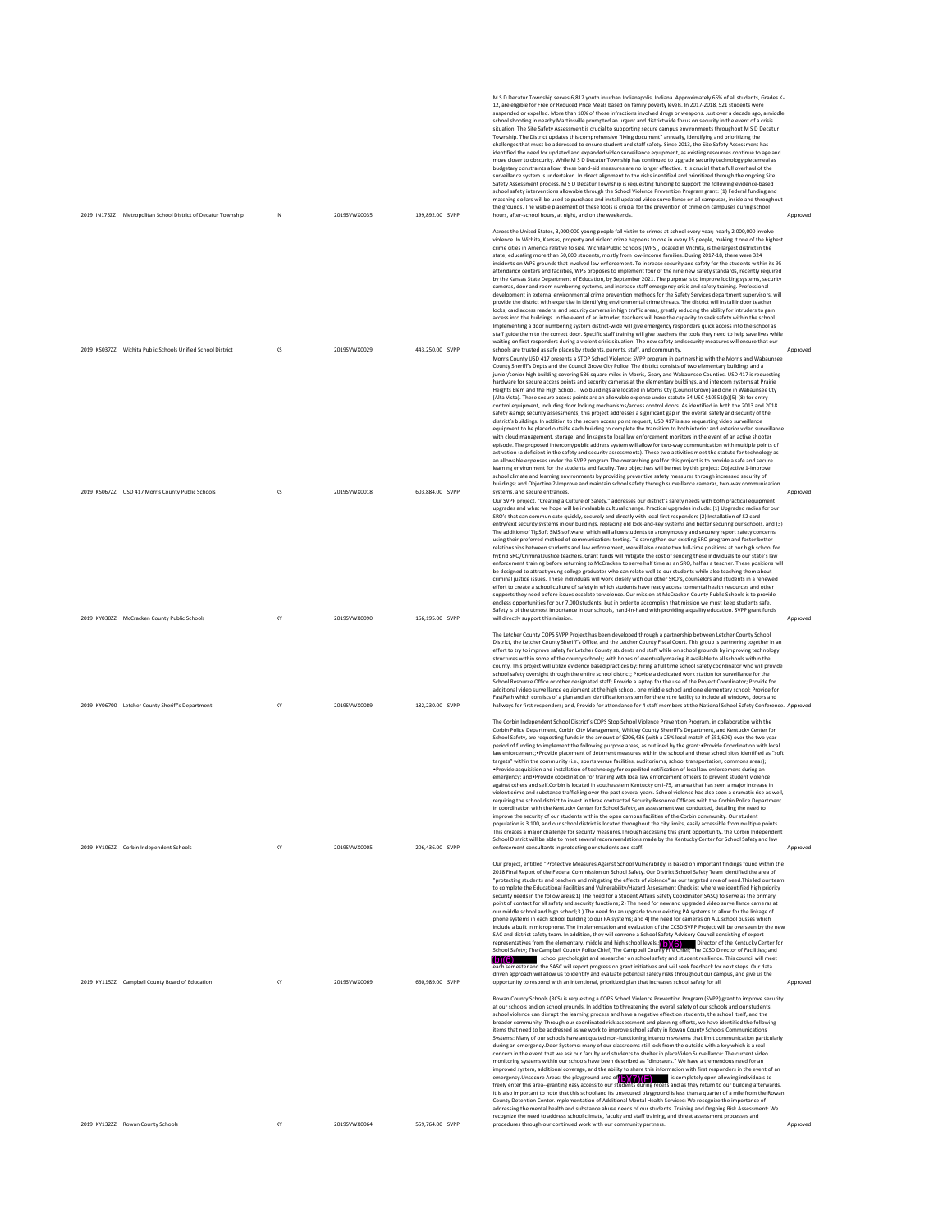|                                                                                      | IN       | 2019SVWX0035                 |                                    | M S D Decatur Township serves 6,812 youth in urban Indianapolis, Indiana. Approximately 65% of all students, Grades K-<br>12, are eligible for Free or Reduced Price Meals based on family poverty levels. In 2017-2018, 521 students were<br>suspended or expelled. More than 10% of those infractions involved drugs or weapons. Just over a decade ago, a middle<br>school shooting in nearby Martinsville prompted an urgent and districtwide focus on security in the event of a crisis<br>situation. The Site Safety Assessment is crucial to supporting secure campus environments throughout M S D Decatur<br>Township. The District updates this comprehensive "living document" annually, identifying and prioritizing the<br>challenges that must be addressed to ensure student and staff safety. Since 2013, the Site Safety Assessment has<br>identified the need for updated and expanded video surveillance equipment, as existing resources continue to age and<br>move closer to obscurity. While M S D Decatur Township has continued to upgrade security technology piecemeal as<br>budgetary constraints allow, these band-aid measures are no longer effective. It is crucial that a full overhaul of the<br>surveillance system is undertaken. In direct alignment to the risks identified and prioritized through the ongoing Site<br>Safety Assessment process, M S D Decatur Township is requesting funding to support the following evidence-based<br>school safety interventions allowable through the School Violence Prevention Program grant: (1) Federal funding and<br>matching dollars will be used to purchase and install updated video surveillance on all campuses, inside and throughout<br>the grounds. The visible placement of these tools is crucial for the prevention of crime on campuses during school                                                                                                                                                                                                                                                                                 |                      |
|--------------------------------------------------------------------------------------|----------|------------------------------|------------------------------------|---------------------------------------------------------------------------------------------------------------------------------------------------------------------------------------------------------------------------------------------------------------------------------------------------------------------------------------------------------------------------------------------------------------------------------------------------------------------------------------------------------------------------------------------------------------------------------------------------------------------------------------------------------------------------------------------------------------------------------------------------------------------------------------------------------------------------------------------------------------------------------------------------------------------------------------------------------------------------------------------------------------------------------------------------------------------------------------------------------------------------------------------------------------------------------------------------------------------------------------------------------------------------------------------------------------------------------------------------------------------------------------------------------------------------------------------------------------------------------------------------------------------------------------------------------------------------------------------------------------------------------------------------------------------------------------------------------------------------------------------------------------------------------------------------------------------------------------------------------------------------------------------------------------------------------------------------------------------------------------------------------------------------------------------------------------------------------------------------------------------------------------|----------------------|
| 2019 IN175ZZ Metropolitan School District of Decatur Township                        |          |                              | 199,892.00 SVPP                    | hours, after-school hours, at night, and on the weekends.<br>Across the United States, 3,000,000 young people fall victim to crimes at school every year; nearly 2,000,000 involve<br>violence. In Wichita, Kansas, property and violent crime happens to one in every 15 people, making it one of the highest<br>crime cities in America relative to size. Wichita Public Schools (WPS), located in Wichita, is the largest district in the<br>state, educating more than 50,000 students, mostly from low-income families. During 2017-18, there were 324<br>incidents on WPS grounds that involved law enforcement. To increase security and safety for the students within its 95<br>attendance centers and facilities, WPS proposes to implement four of the nine new safety standards, recently required<br>by the Kansas State Department of Education, by September 2021. The purpose is to improve locking systems, security<br>cameras, door and room numbering systems, and increase staff emergency crisis and safety training. Professional<br>development in external environmental crime prevention methods for the Safety Services department supervisors, will<br>provide the district with expertise in identifying environmental crime threats. The district will install indoor teacher<br>locks, card access readers, and security cameras in high traffic areas, greatly reducing the ability for intruders to gain<br>access into the buildings. In the event of an intruder, teachers will have the capacity to seek safety within the school.<br>Implementing a door numbering system district-wide will give emergency responders quick access into the school as                                                                                                                                                                                                                                                                                                                                                                                                                                           | Approved             |
| 2019 KS037ZZ Wichita Public Schools Unified School District                          | KS       | 2019SVWX0029                 | 443,250.00 SVPP                    | staff guide them to the correct door. Specific staff training will give teachers the tools they need to help save lives while<br>waiting on first responders during a violent crisis situation. The new safety and security measures will ensure that our<br>schools are trusted as safe places by students, parents, staff, and community.<br>Morris County USD 417 presents a STOP School Violence: SVPP program in partnership with the Morris and Wabaunsee<br>County Sheriff's Depts and the Council Grove City Police. The district consists of two elementary buildings and a<br>junior/senior high building covering 536 square miles in Morris, Geary and Wabaunsee Counties. USD 417 is requesting<br>hardware for secure access points and security cameras at the elementary buildings, and intercom systems at Prairie<br>Heights Elem and the High School. Two buildings are located in Morris Cty (Council Grove) and one in Wabaunsee Cty<br>(Alta Vista). These secure access points are an allowable expense under statute 34 USC §10551(b)(5)-(8) for entry<br>control equipment, including door locking mechanisms/access control doors. As identified in both the 2013 and 2018<br>safety & security assessments, this project addresses a significant gap in the overall safety and security of the<br>district's buildings. In addition to the secure access point request, USD 417 is also requesting video surveillance<br>equipment to be placed outside each building to complete the transition to both interior and exterior video surveillance<br>with cloud management, storage, and linkages to local law enforcement monitors in the event of an active shooter<br>episode. The proposed intercom/public address system will allow for two-way communication with multiple points of<br>activation (a deficient in the safety and security assessments). These two activities meet the statute for technology as                                                                                                                                                                                     | Approved             |
| 2019 KS067ZZ USD 417 Morris County Public Schools                                    | KS       | 2019SVWX0018                 | 603,884.00 SVPP                    | an allowable expenses under the SVPP program. The overarching goal for this project is to provide a safe and secure<br>learning environment for the students and faculty. Two objectives will be met by this project: Objective 1-Improve<br>school climate and learning environments by providing preventive safety measures through increased security of<br>buildings; and Objective 2-Improve and maintain school safety through surveillance cameras, two-way communication<br>systems, and secure entrances.<br>Our SVPP project, "Creating a Culture of Safety," addresses our district's safety needs with both practical equipment<br>upgrades and what we hope will be invaluable cultural change. Practical upgrades include: (1) Upgraded radios for our<br>SRO's that can communicate quickly, securely and directly with local first responders (2) Installation of S2 card<br>entry/exit security systems in our buildings, replacing old lock-and-key systems and better securing our schools, and (3)<br>The addition of TipSoft SMS software, which will allow students to anonymously and securely report safety concerns<br>using their preferred method of communication: texting. To strengthen our existing SRO program and foster better<br>relationships between students and law enforcement, we will also create two full-time positions at our high school for<br>hybrid SRO/Criminal Justice teachers. Grant funds will mitigate the cost of sending these individuals to our state's law<br>enforcement training before returning to McCracken to serve half time as an SRO, half as a teacher. These positions will<br>be designed to attract young college graduates who can relate well to our students while also teaching them about<br>criminal justice issues. These individuals will work closely with our other SRO's, counselors and students in a renewed<br>effort to create a school culture of safety in which students have ready access to mental health resources and other                                                                                                            | Approved             |
| 2019 KY030ZZ McCracken County Public Schools                                         | KY       | 2019SVWX0090                 | 166,195.00 SVPP                    | supports they need before issues escalate to violence. Our mission at McCracken County Public Schools is to provide<br>endless opportunities for our 7,000 students, but in order to accomplish that mission we must keep students safe.<br>Safety is of the utmost importance in our schools, hand-in-hand with providing a quality education. SVPP grant funds<br>will directly support this mission.                                                                                                                                                                                                                                                                                                                                                                                                                                                                                                                                                                                                                                                                                                                                                                                                                                                                                                                                                                                                                                                                                                                                                                                                                                                                                                                                                                                                                                                                                                                                                                                                                                                                                                                               | Approved             |
|                                                                                      |          |                              |                                    | The Letcher County COPS SVPP Project has been developed through a partnership between Letcher County School<br>District. the Letcher County Sheriff's Office, and the Letcher County Fiscal Court. This group is partnering together in an<br>effort to try to improve safety for Letcher County students and staff while on school grounds by improving technology<br>structures within some of the county schools; with hopes of eventually making it available to all schools within the<br>county. This project will utilize evidence based practices by: hiring a full time school safety coordinator who will provide<br>school safety oversight through the entire school district; Provide a dedicated work station for surveillance for the<br>School Resource Office or other designated staff; Provide a laptop for the use of the Project Coordinator; Provide for<br>additional video surveillance equipment at the high school, one middle school and one elementary school; Provide for<br>FastPath which consists of a plan and an identification system for the entire facility to include all windows, doors and                                                                                                                                                                                                                                                                                                                                                                                                                                                                                                                                                                                                                                                                                                                                                                                                                                                                                                                                                                                                    |                      |
| 2019 KY06700 Letcher County Sheriff's Department                                     | KY       | 2019SVWX0089                 | 182.230.00 SVPP                    | hallways for first responders; and, Provide for attendance for 4 staff members at the National School Safety Conference. Approved<br>The Corbin Independent School District's COPS Stop School Violence Prevention Program, in collaboration with the<br>Corbin Police Department, Corbin City Management, Whitley County Sherriff's Department, and Kentucky Center for<br>School Safety, are requesting funds in the amount of \$206,436 (with a 25% local match of \$51,609) over the two year<br>period of funding to implement the following purpose areas, as outlined by the grant: • Provide Coordination with local<br>law enforcement; *Provide placement of deterrent measures within the school and those school sites identified as "soft<br>targets" within the community (i.e., sports venue facilities, auditoriums, school transportation, commons areas);<br>.Provide acquisition and installation of technology for expedited notification of local law enforcement during an<br>emergency; and*Provide coordination for training with local law enforcement officers to prevent student violence<br>against others and self Corbin is located in southeastern Kentucky on 1-75, an area that has seen a major increase in<br>violent crime and substance trafficking over the past several years. School violence has also seen a dramatic rise as well,<br>requiring the school district to invest in three contracted Security Resource Officers with the Corbin Police Department.<br>In coordination with the Kentucky Center for School Safety, an assessment was conducted, detailing the need to<br>improve the security of our students within the open campus facilities of the Corbin community. Our student                                                                                                                                                                                                                                                                                                                                                                                            |                      |
| 2019 KY106ZZ Corbin Independent Schools                                              |          |                              |                                    | population is 3,100, and our school district is located throughout the city limits, easily accessible from multiple points.                                                                                                                                                                                                                                                                                                                                                                                                                                                                                                                                                                                                                                                                                                                                                                                                                                                                                                                                                                                                                                                                                                                                                                                                                                                                                                                                                                                                                                                                                                                                                                                                                                                                                                                                                                                                                                                                                                                                                                                                           |                      |
|                                                                                      | KY       | 2019SVWX0005                 | 206.436.00 SVPP                    | This creates a major challenge for security measures. Through accessing this grant opportunity, the Corbin Independent<br>School District will be able to meet several recommendations made by the Kentucky Center for School Safety and law<br>enforcement consultants in protecting our students and staff.<br>Our project, entitled "Protective Measures Against School Vulnerability, is based on important findings found within the                                                                                                                                                                                                                                                                                                                                                                                                                                                                                                                                                                                                                                                                                                                                                                                                                                                                                                                                                                                                                                                                                                                                                                                                                                                                                                                                                                                                                                                                                                                                                                                                                                                                                             | Approved             |
|                                                                                      |          |                              |                                    | 2018 Final Report of the Federal Commission on School Safety. Our District School Safety Team identified the area of<br>"protecting students and teachers and mitigating the effects of violence" as our targeted area of need. This led our team<br>to complete the Educational Facilities and Vulnerability/Hazard Assessment Checklist where we identified high priority<br>security needs in the follow areas:1) The need for a Student Affairs Safety Coordinator(SASC) to serve as the primary<br>point of contact for all safety and security functions; 2) The need for new and upgraded video surveillance cameras at<br>our middle school and high school;3.) The need for an upgrade to our existing PA systems to allow for the linkage of<br>phone systems in each school building to our PA systems: and 4)The need for cameras on ALL school busses which<br>include a built in microphone. The implementation and evaluation of the CCSD SVPP Project will be overseen by the new<br>SAC and district safety team. In addition, they will convene a School Safety Advisory Council consisting of expert<br>representatives from the elementary, middle and high school levels. $(\mathbf{b})(6)$ Director of the Kentucky Center for<br>School Safety; The Campbell County Police Chief, The Campbell County Fire Chief; The CCSD Director of Facilities; and<br>school psychologist and researcher on school safety and student resilience. This council will meet<br>each semester and the SASC will report progress on grant initiatives and will seek feedback for next steps. Our data<br>driven approach will allow us to identify and evaluate potential safety risks throughout our campus, and give us the                                                                                                                                                                                                                                                                                                                                                                                                   |                      |
| 2019 KY115ZZ Campbell County Board of Education<br>2019 KY132ZZ Rowan County Schools | KY<br>KY | 2019SVWX0069<br>2019SVWX0064 | 660,989.00 SVPP<br>559,764.00 SVPP | opportunity to respond with an intentional, prioritized plan that increases school safety for all.<br>Rowan County Schools (RCS) is requesting a COPS School Violence Prevention Program (SVPP) grant to improve security<br>at our schools and on school grounds. In addition to threatening the overall safety of our schools and our students.<br>school violence can disrupt the learning process and have a negative effect on students, the school itself, and the<br>broader community. Through our coordinated risk assessment and planning efforts, we have identified the following<br>items that need to be addressed as we work to improve school safety in Rowan County Schools:Communications<br>Systems: Many of our schools have antiquated non-functioning intercom systems that limit communication particularly<br>during an emergency.Door Systems: many of our classrooms still lock from the outside with a key which is a real<br>concern in the event that we ask our faculty and students to shelter in placeVideo Surveillance: The current video<br>monitoring systems within our schools have been described as "dinosaurs." We have a tremendous need for an<br>improved system, additional coverage, and the ability to share this information with first responders in the event of an<br>emergency. Unsecure Areas: the playground area of $\binom{6}{6}\binom{7}{4}$ is completely open allowing individuals to<br>freely enter this area-granting easy access to our students during recess and as they return to our building afterwards.<br>It is also important to note that this school and its unsecured playground is less than a quarter of a mile from the Rowan<br>County Detention Center. Implementation of Additional Mental Health Services: We recognize the importance of<br>addressing the mental health and substance abuse needs of our students. Training and Ongoing Risk Assessment: We<br>recognize the need to address school climate, faculty and staff training, and threat assessment processes and<br>procedures through our continued work with our community partners. | Approved<br>Approved |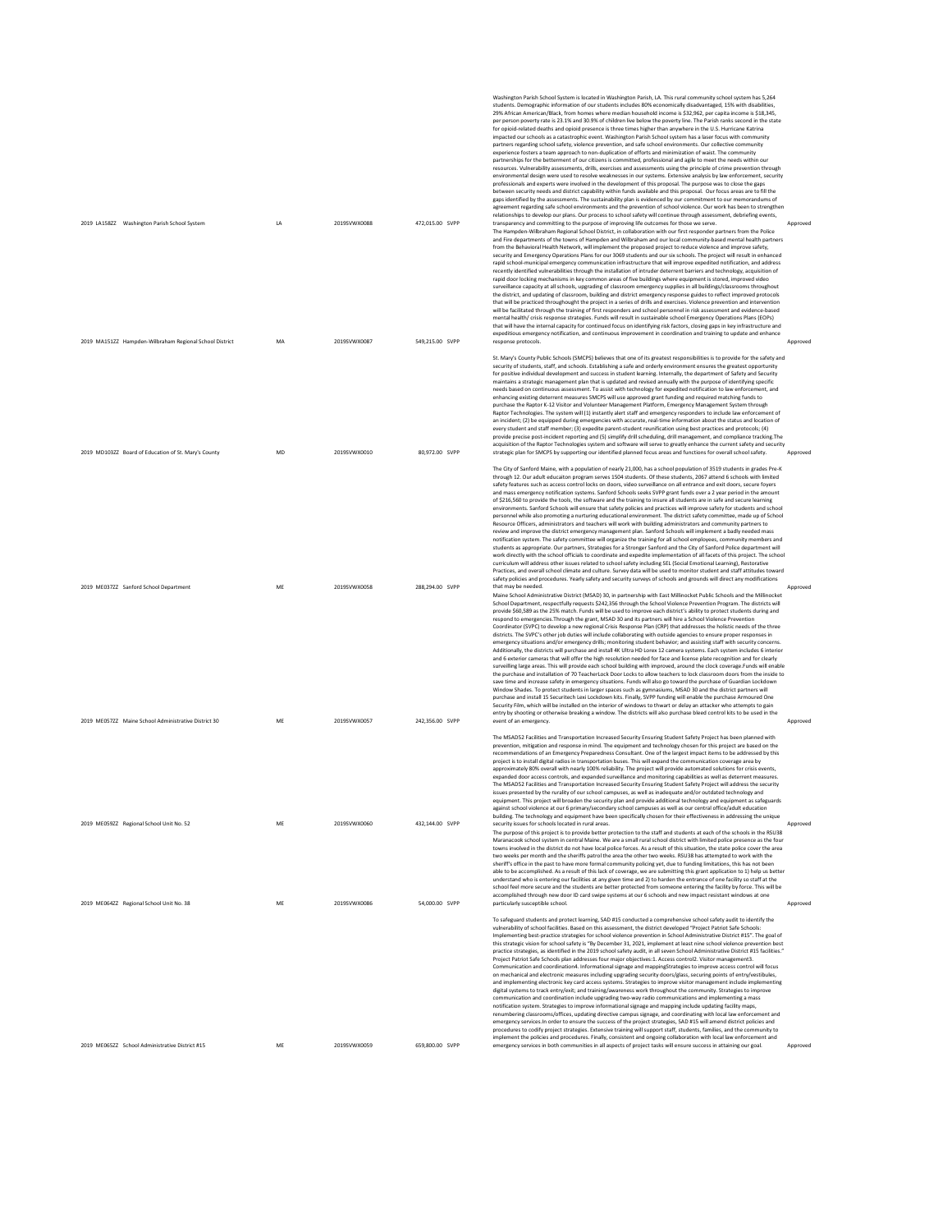| 2019 LA158ZZ Washington Parish School System            | LA        | 2019SVWX0088 | 472,015.00 SVPP | Washington Parish School System is located in Washington Parish, LA. This rural community school system has 5,264<br>students. Demographic information of our students includes 80% economically disadvantaged, 15% with disabilities,<br>29% African American/Black, from homes where median household income is \$32,962, per capita income is \$18,345,<br>per person poverty rate is 23.1% and 30.9% of children live below the poverty line. The Parish ranks second in the state<br>for opioid-related deaths and opioid presence is three times higher than anywhere in the U.S. Hurricane Katrina<br>impacted our schools as a catastrophic event. Washington Parish School system has a laser focus with community<br>partners regarding school safety, violence prevention, and safe school environments. Our collective community<br>experience fosters a team approach to non-duplication of efforts and minimization of waist. The community<br>partnerships for the betterment of our citizens is committed, professional and agile to meet the needs within our<br>resources. Vulnerability assessments, drills, exercises and assessments using the principle of crime prevention through<br>environmental design were used to resolve weaknesses in our systems. Extensive analysis by law enforcement, security<br>professionals and experts were involved in the development of this proposal. The purpose was to close the gaps<br>between security needs and district capability within funds available and this proposal. Our focus areas are to fill the<br>gaps identified by the assessments. The sustainability plan is evidenced by our commitment to our memorandums of<br>agreement regarding safe school environments and the prevention of school violence. Our work has been to strengthen<br>relationships to develop our plans. Our process to school safety will continue through assessment, debriefing events,<br>transparency and committing to the purpose of improving life outcomes for those we serve.                                                                          | Approved |
|---------------------------------------------------------|-----------|--------------|-----------------|---------------------------------------------------------------------------------------------------------------------------------------------------------------------------------------------------------------------------------------------------------------------------------------------------------------------------------------------------------------------------------------------------------------------------------------------------------------------------------------------------------------------------------------------------------------------------------------------------------------------------------------------------------------------------------------------------------------------------------------------------------------------------------------------------------------------------------------------------------------------------------------------------------------------------------------------------------------------------------------------------------------------------------------------------------------------------------------------------------------------------------------------------------------------------------------------------------------------------------------------------------------------------------------------------------------------------------------------------------------------------------------------------------------------------------------------------------------------------------------------------------------------------------------------------------------------------------------------------------------------------------------------------------------------------------------------------------------------------------------------------------------------------------------------------------------------------------------------------------------------------------------------------------------------------------------------------------------------------------------------------------------------------------------------------------------------------------------------------------------------------|----------|
| 2019 MA151ZZ Hampden-Wilbraham Regional School District | MA        | 2019SVWX0087 | 549.215.00 SVPP | The Hampden-Wilbraham Regional School District, in collaboration with our first responder partners from the Police<br>and Fire departments of the towns of Hampden and Wilbraham and our local community-based mental health partners<br>from the Behavioral Health Network, will implement the proposed project to reduce violence and improve safety,<br>security and Emergency Operations Plans for our 3069 students and our six schools. The project will result in enhanced<br>rapid school-municipal emergency communication infrastructure that will improve expedited notification, and address<br>recently identified vulnerabilities through the installation of intruder deterrent barriers and technology, acquisition of<br>rapid door locking mechanisms in key common areas of five buildings where equipment is stored, improved video<br>surveillance capacity at all schools, upgrading of classroom emergency supplies in all buildings/classrooms throughout<br>the district, and updating of classroom, building and district emergency response guides to reflect improved protocols<br>that will be practiced throughought the project in a series of drills and exercises. Violence prevention and intervention<br>will be facilitated through the training of first responders and school personnel in risk assessment and evidence-based<br>mental health/crisis response strategies. Funds will result in sustainable school Emergency Operations Plans (EOPs)<br>that will have the internal capacity for continued focus on identifying risk factors, closing gaps in key infrastructure and<br>expeditious emergency notification, and continuous improvement in coordination and training to update and enhance<br>response protocols.                                                                                                                                                                                                                                                                                                                                                    | Approved |
|                                                         |           |              |                 | St. Mary's County Public Schools (SMCPS) believes that one of its greatest responsibilities is to provide for the safety and<br>security of students, staff, and schools. Establishing a safe and orderly environment ensures the greatest opportunity<br>for positive individual development and success in student learning. Internally, the department of Safety and Security<br>maintains a strategic management plan that is updated and revised annually with the purpose of identifying specific<br>needs based on continuous assessment. To assist with technology for expedited notification to law enforcement, and<br>enhancing existing deterrent measures SMCPS will use approved grant funding and required matching funds to<br>purchase the Raptor K-12 Visitor and Volunteer Management Platform, Emergency Management System through<br>Raptor Technologies. The system will (1) instantly alert staff and emergency responders to include law enforcement of<br>an incident: (2) be equipped during emergencies with accurate, real-time information about the status and location of<br>every student and staff member: (3) expedite parent-student reunification using best practices and protocols: (4)<br>provide precise post-incident reporting and (5) simplify drill scheduling, drill management, and compliance tracking. The<br>acquisition of the Raptor Technologies system and software will serve to greatly enhance the current safety and security                                                                                                                                                                                                                                                                                                                                                                                                                                                                                                                                                                                                                                    |          |
| 2019 MD103ZZ Board of Education of St. Mary's County    | <b>MD</b> | 2019SVWX0010 | 80,972.00 SVPP  | strategic plan for SMCPS by supporting our identified planned focus areas and functions for overall school safety.<br>The City of Sanford Maine, with a population of nearly 21,000, has a school population of 3519 students in grades Pre-K<br>through 12. Our adult educaiton program serves 1504 students. Of these students, 2067 attend 6 schools with limited<br>safety features such as access control locks on doors, video surveillance on all entrance and exit doors, secure foyers<br>and mass emergency notification systems. Sanford Schools seeks SVPP grant funds over a 2 year period in the amount<br>of \$216,560 to provide the tools, the software and the training to insure all students are in safe and secure learning<br>environments. Sanford Schools will ensure that safety policies and practices will improve safety for students and school<br>personnel while also promoting a nurturing educational environment. The district safety committee. made up of School<br>Resource Officers, administrators and teachers will work with building administrators and community partners to<br>review and improve the district emergency management plan. Sanford Schools will implement a badly needed mass<br>notification system. The safety committee will organize the training for all school employees, community members and<br>students as appropriate. Our partners, Strategies for a Stronger Sanford and the City of Sanford Police department will<br>work directly with the school officials to coordinate and expedite implementation of all facets of this project. The school<br>curriculum will address other issues related to school safety including SEL (Social Emotional Learning), Restorative<br>Practices, and overall school climate and culture. Survey data will be used to monitor student and staff attitudes toward                                                                                                                                                                                                                                           | Approved |
| 2019 ME037ZZ Sanford School Department                  | ME        | 2019SVWX0058 | 288.294.00 SVPP | safety policies and procedures. Yearly safety and security surveys of schools and grounds will direct any modifications<br>that may be needed.<br>Maine School Administrative District (MSAD) 30, in partnership with East Millinocket Public Schools and the Millinocket<br>School Department, respectfully requests \$242,356 through the School Violence Prevention Program. The districts will<br>provide \$60,589 as the 25% match. Funds will be used to improve each district's ability to protect students during and<br>respond to emergencies. Through the grant, MSAD 30 and its partners will hire a School Violence Prevention<br>Coordinator (SVPC) to develop a new regional Crisis Response Plan (CRP) that addresses the holistic needs of the three<br>districts. The SVPC's other job duties will include collaborating with outside agencies to ensure proper responses in<br>emergency situations and/or emergency drills; monitoring student behavior; and assisting staff with security concerns.<br>Additionally, the districts will purchase and install 4K Ultra HD Lorex 12 camera systems. Each system includes 6 interior<br>and 6 exterior cameras that will offer the high resolution needed for face and license plate recognition and for clearly<br>surveilling large areas. This will provide each school building with improved, around the clock coverage.Funds will enable<br>the purchase and installation of 70 TeacherLock Door Locks to allow teachers to lock classroom doors from the inside to<br>save time and increase safety in emergency situations. Funds will also go toward the purchase of Guardian Lockdown<br>Window Shades. To protect students in larger spaces such as gymnasiums, MSAD 30 and the district partners will<br>purchase and install 15 Securitech Lexi Lockdown kits. Finally, SVPP funding will enable the purchase Armoured One<br>Security Film, which will be installed on the interior of windows to thwart or delay an attacker who attempts to gain                                                                                        | Approved |
| 2019 ME05777 Maine School Administrative District 30    | ME        | 2019SVWX0057 | 242.356.00 SVPP | entry by shooting or otherwise breaking a window. The districts will also purchase bleed control kits to be used in the<br>event of an emergency.                                                                                                                                                                                                                                                                                                                                                                                                                                                                                                                                                                                                                                                                                                                                                                                                                                                                                                                                                                                                                                                                                                                                                                                                                                                                                                                                                                                                                                                                                                                                                                                                                                                                                                                                                                                                                                                                                                                                                                         | Approved |
|                                                         |           |              |                 | The MSAD52 Facilities and Transportation Increased Security Ensuring Student Safety Project has been planned with<br>prevention, mitigation and response in mind. The equipment and technology chosen for this project are based on the<br>recommendations of an Emergency Preparedness Consultant. One of the largest impact items to be addressed by this<br>project is to install digital radios in transportation buses. This will expand the communication coverage area by<br>approximately 80% overall with nearly 100% reliability. The project will provide automated solutions for crisis events,<br>expanded door access controls, and expanded surveillance and monitoring capabilities as well as deterrent measures.<br>The MSAD52 Facilities and Transportation Increased Security Ensuring Student Safety Project will address the security<br>issues presented by the rurality of our school campuses, as well as inadequate and/or outdated technology and<br>equipment. This project will broaden the security plan and provide additional technology and equipment as safeguards<br>against school violence at our 6 primary/secondary school campuses as well as our central office/adult education<br>building. The technology and equipment have been specifically chosen for their effectiveness in addressing the unique                                                                                                                                                                                                                                                                                                                                                                                                                                                                                                                                                                                                                                                                                                                                                                         |          |
| 2019 ME059ZZ Regional School Unit No. 52                | ME        | 2019SVWX0060 | 432.144.00 SVPP | security issues for schools located in rural areas.<br>The purpose of this project is to provide better protection to the staff and students at each of the schools in the RSU38<br>Maranacook school system in central Maine. We are a small rural school district with limited police presence as the four<br>towns involved in the district do not have local police forces. As a result of this situation, the state police cover the area<br>two weeks per month and the sheriffs patrol the area the other two weeks. RSU38 has attempted to work with the<br>sheriff's office in the past to have more formal community policing yet, due to funding limitations, this has not been<br>able to be accomplished. As a result of this lack of coverage, we are submitting this grant application to 1) help us better<br>understand who is entering our facilities at any given time and 2) to harden the entrance of one facility so staff at the<br>school feel more secure and the students are better protected from someone entering the facility by force. This will be                                                                                                                                                                                                                                                                                                                                                                                                                                                                                                                                                                                                                                                                                                                                                                                                                                                                                                                                                                                                                                        | Approved |
| 2019 ME064ZZ Regional School Unit No. 38                | ME        | 2019SVWX0086 | 54,000.00 SVPP  | accomplished through new door ID card swipe systems at our 6 schools and new impact resistant windows at one<br>particularly susceptible school.<br>To safeguard students and protect learning, SAD #15 conducted a comprehensive school safety audit to identify the<br>vulnerability of school facilities. Based on this assessment, the district developed "Project Patriot Safe Schools<br>Implementing best-practice strategies for school violence prevention in School Administrative District #15". The goal of<br>this strategic vision for school safety is "By December 31, 2021, implement at least nine school violence prevention best<br>practice strategies, as identified in the 2019 school safety audit, in all seven School Administrative District #15 facilities."<br>Project Patriot Safe Schools plan addresses four major objectives:1. Access control2. Visitor management3.<br>Communication and coordination4. Informational signage and mappingStrategies to improve access control will focus<br>on mechanical and electronic measures including upgrading security doors/glass, securing points of entry/vestibules,<br>and implementing electronic key card access systems. Strategies to improve visitor management include implementing<br>digital systems to track entry/exit; and training/awareness work throughout the community. Strategies to improve<br>communication and coordination include upgrading two-way radio communications and implementing a mass<br>notification system. Strategies to improve informational signage and mapping include updating facility maps,<br>renumbering classrooms/offices, updating directive campus signage, and coordinating with local law enforcement and<br>emergency services. In order to ensure the success of the project strategies, SAD #15 will amend district policies and<br>procedures to codify project strategies. Extensive training will support staff, students, families, and the community to<br>implement the policies and procedures. Finally, consistent and ongoing collaboration with local law enforcement and | Approved |
| 2019 ME065ZZ School Administrative District #15         | ME        | 2019SVWX0059 | 659.800.00 SVPP | emergency services in both communities in all aspects of project tasks will ensure success in attaining our goal.                                                                                                                                                                                                                                                                                                                                                                                                                                                                                                                                                                                                                                                                                                                                                                                                                                                                                                                                                                                                                                                                                                                                                                                                                                                                                                                                                                                                                                                                                                                                                                                                                                                                                                                                                                                                                                                                                                                                                                                                         | Approved |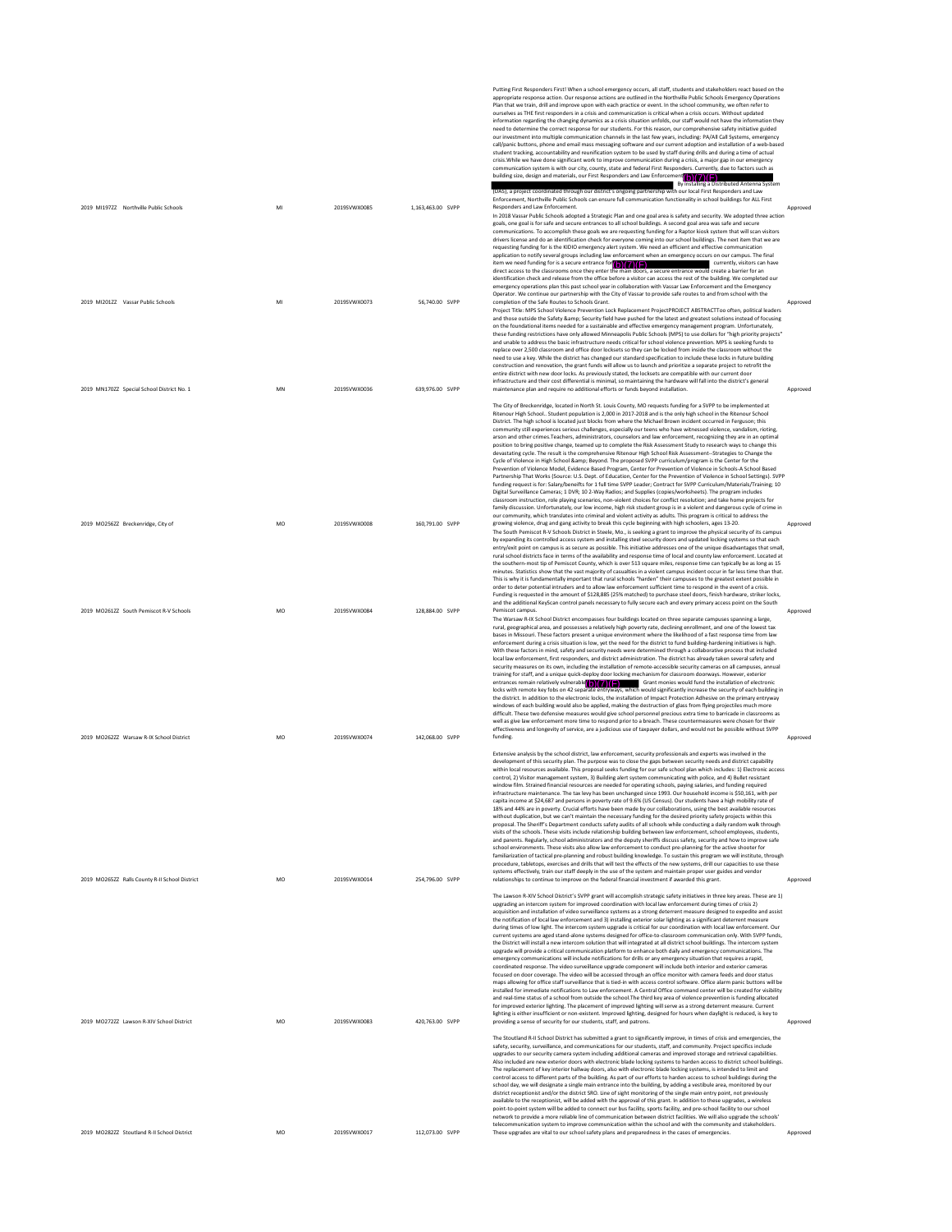2019 MI1972Z Northville Public Schools MI 2019SVWX0085 1,163,463.00 SVPP Putting First Responders First When a school emergency occurs, all start, students and stakeholders react based on the<br>appropriate response action. Our response actions are outlined in the Northville Public Schools Emergen ourseves as THE IRST responders in a crisis and communication is critical when a crisis occurs. Whhold updated<br>information regarding the changing dynamics as a crisis situation untiods, our staff would not have the informa (DAS), a project coordinated through our district's ongoing partnership with our local First Responders and Law<br>Enforcement, Northville Public Schools can ensure full communication functionality in school buildings for ALL Ensurements, normal contents and the method of the communication contents and proved community of the Responders and Law Enforcement.<br>The 2018 Vassar Public Schools adopted a Strategic Plan and one goal area is safety and 2019 MI201ZZ Vassar Public Schools MI 2019SVWX0073 56,740.00 SVPP In 2018 Vascar Public Schools adopted a Stratege Plan and one goal area is elety and secure action<br>goals, one goal is for safe and secure entrances to all school buildings. A second goal area was safe and secure<br>communica 2019 MN170ZZ Special School District No. 1 MN 2019SVWX0036 639,976.00 SVPP Project Title: MPS School Violence Prevention Lock Replacement ProjectPROJECT ABSTRACTToo often, political leaders and those outside the Safety Kamp, Security held have pushed of the latest and greatest solutions instead of tocusing<br>on the foundational items needed for a sustainable and effective emergency management program. Unfortuna 2019 MO256ZZ Breckenridge, City of MO 2019SVWX0008 160,791.00 SVPP The City of Breckenridge, located in North St. Louis County, MO requests funding for a SVPP to be implemented at<br>Ritenour High School.. Student population is 2,000 in 2017-2018 and is the only high school in the Ritenour S arson and other crimes. Feachers, administrators, counseles and alw enforcement, recoppting they are in an optimal<br>position to bring positive change, teamed up to compete the Risk Assessment Study to research ways to chang growing violence, drug and gang activity to break this cycle beginning with high schoolers, ages 13-20. 2019 MO261ZZ South Pemiscot R-V Schools MO 2019SVWX0084 128,884.00 SVPP The South Pemiscot R-V Schools District in Steele, Mo., is seeking a grant to improve the physical security of its campus by expanding its controlled access system and installing steel security doors and updated locking systems so that each entry/exit point on campus is as secure as possible. This initiative addresses one of the unique disadvantages that small, rundled in terms of the availability and response time of local and county law enforcement. Located Pemicot campus.<br>The Warsaw R-W. School District encompasses four buildings located on three separate campuses spanning a large,<br>rural, geographical area, and possesses a relatively high poverty rate, declining enrollment, 2019 MO262ZZ Warsaw R-IX School District MO 2019SVWX0074 142,068.00 SVPP enforcement during a cristis situation is low, yet the need for the district to fund building-hardening initiatives is high.<br>With these factors in mind, safety and security needs were determined through a collaborative pro 2019 MO265ZZ Ralls County R-II School District MO 2019SVWX0014 254,796.00 SVPP Extensive analysis by the school district, law enforcement, security professionals and experts was involved in the<br>development of this security plan. The purpose was to close the gaps between security needs and district ca within local resources available. This proposal seeks funding for our safe school plan which includes: 1) Electronic access<br>control, 2) Visitor management system, 3) Building alert system communicating with police, and 4) window film. Strained financial resources are needed for operating schools, paying salaries, and funding required<br>infrastructure maintenance. The tax levy has been unchanged since 1993. Our household income is \$50,161, wit Tamillarization of tactical pre-planning and robust building knowledge. To sustain this program we will institute, through<br>procedure, tabletops, exercises and drills that will test the effects of the new systems, drill our 2019 MO272ZZ Lawson R-XIV School District MO 2019SVWX0083 420,763.00 SVPP The Lawson R-XIV school District's SOPP grant will accomplish stategies safety initiatives in three key areas are the upgrading an intercom system for improved coordination with local law enforcement during times of crisi maps allowing for office staff surveillance that is tied-in with access control software. Office alarm panic buttons will be<br>installed for inmediate notifications to Law enforcement. A Central Office command center will be 2019 MO282ZZ Stoutland R-II School District MO 2019SVWX0017 112,073.00 SVPP The Stoutiand RHI School District has submitted a grant to significantly improve, in times of crisis and emergencies, the<br>stelly, security, surveillance, and communications for our students, staff, and community. Project s (b)(7)(F) (b)(7)(F)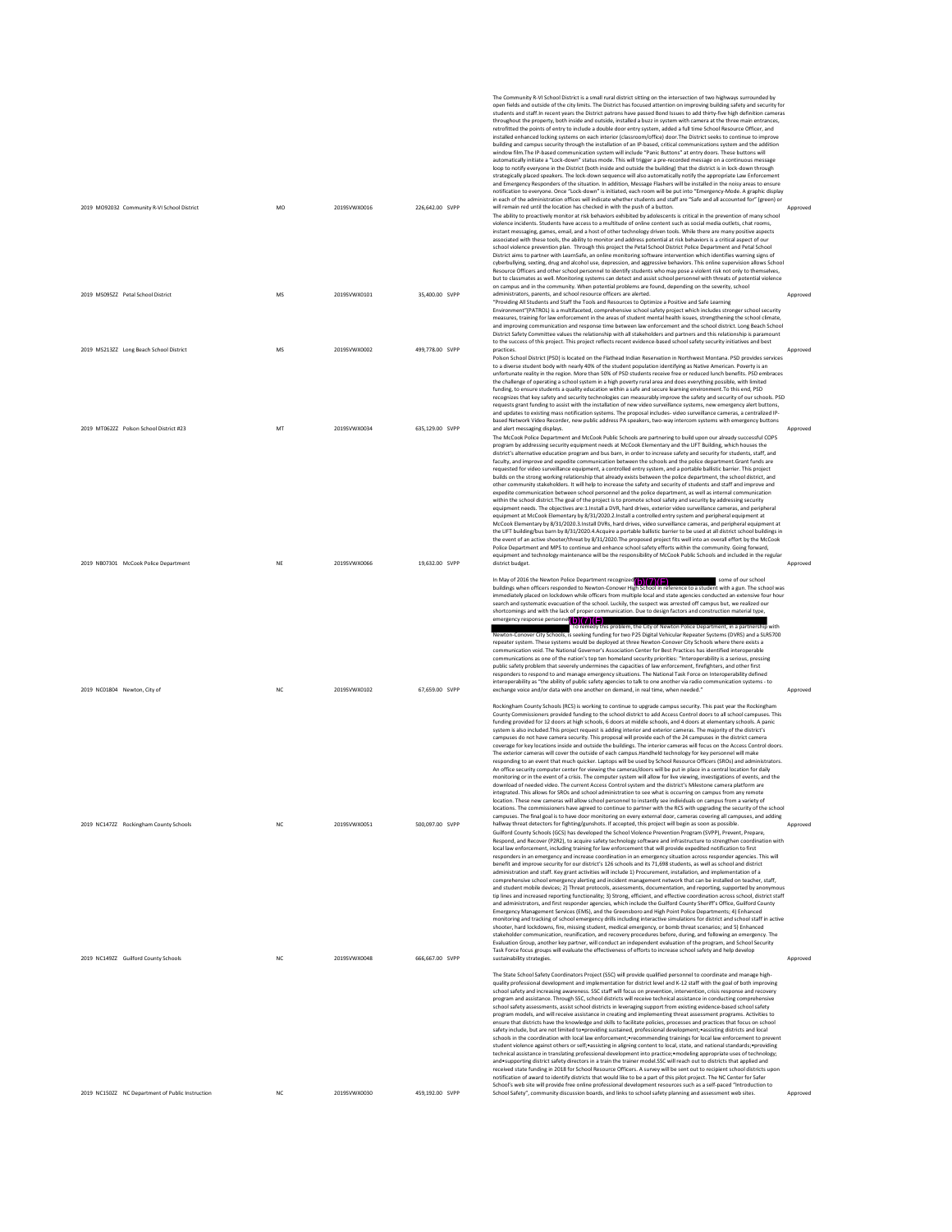|                                                                       |                 |                              |                                  | The Community R-VI School District is a small rural district sitting on the intersection of two highways surrounded by<br>open fields and outside of the city limits. The District has focused attention on improving building safety and security for<br>students and staff.In recent years the District patrons have passed Bond Issues to add thirty-five high definition cameras<br>throughout the property, both inside and outside, installed a buzz in system with camera at the three main entrances,<br>retrofitted the points of entry to include a double door entry system, added a full time School Resource Officer, and<br>installed enhanced locking systems on each interior (classroom/office) door. The District seeks to continue to improve<br>building and campus security through the installation of an IP-based, critical communications system and the addition<br>window film. The IP-based communication system will include "Panic Buttons" at entry doors. These buttons will<br>automatically initiate a "Lock-down" status mode. This will trigger a pre-recorded message on a continuous message<br>loop to notify everyone in the District (both inside and outside the building) that the district is in lock-down through<br>strategically placed speakers. The lock-down sequence will also automatically notify the appropriate Law Enforcement<br>and Emergency Responders of the situation. In addition, Message Flashers will be installed in the noisy areas to ensure<br>notification to everyone. Once "Lock-down" is initiated, each room will be put into "Emergency-Mode. A graphic display                                                                                                                                                                                                                                                                                                                                                                                                                                  |                      |
|-----------------------------------------------------------------------|-----------------|------------------------------|----------------------------------|-----------------------------------------------------------------------------------------------------------------------------------------------------------------------------------------------------------------------------------------------------------------------------------------------------------------------------------------------------------------------------------------------------------------------------------------------------------------------------------------------------------------------------------------------------------------------------------------------------------------------------------------------------------------------------------------------------------------------------------------------------------------------------------------------------------------------------------------------------------------------------------------------------------------------------------------------------------------------------------------------------------------------------------------------------------------------------------------------------------------------------------------------------------------------------------------------------------------------------------------------------------------------------------------------------------------------------------------------------------------------------------------------------------------------------------------------------------------------------------------------------------------------------------------------------------------------------------------------------------------------------------------------------------------------------------------------------------------------------------------------------------------------------------------------------------------------------------------------------------------------------------------------------------------------------------------------------------------------------------------------------------------------------------------------------------------------------|----------------------|
| 2019 MO92032 Community R-VI School District                           | MO              | 2019SVWX0016                 | 226,642.00 SVPP                  | in each of the administration offices will indicate whether students and staff are "Safe and all accounted for" (green) or<br>will remain red until the location has checked in with the push of a button.<br>The ability to proactively monitor at risk behaviors exhibited by adolescents is critical in the prevention of many school<br>violence incidents. Students have access to a multitude of online content such as social media outlets, chat rooms,<br>instant messaging, games, email, and a host of other technology driven tools. While there are many positive aspects<br>associated with these tools, the ability to monitor and address potential at risk behaviors is a critical aspect of our<br>school violence prevention plan. Through this project the Petal School District Police Department and Petal School<br>District aims to partner with LearnSafe, an online monitoring software intervention which identifies warning signs of<br>cyberbullying, sexting, drug and alcohol use, depression, and aggressive behaviors. This online supervision allows School<br>Resource Officers and other school personnel to identify students who may pose a violent risk not only to themselves,<br>but to classmates as well. Monitoring systems can detect and assist school personnel with threats of potential violence<br>on campus and in the community. When potential problems are found, depending on the severity, school                                                                                                                                                                                                                                                                                                                                                                                                                                                                                                                                                                                                                   | Approved             |
| 2019 MS095ZZ Petal School District                                    | MS              | 2019SVWX0101                 | 35,400.00 SVPP                   | administrators, parents, and school resource officers are alerted.<br>"Providing All Students and Staff the Tools and Resources to Optimize a Positive and Safe Learning<br>Environment"(PATROL) is a multifaceted, comprehensive school safety project which includes stronger school security<br>measures, training for law enforcement in the areas of student mental health issues, strengthening the school climate,<br>and improving communication and response time between law enforcement and the school district. Long Beach School<br>District Safety Committee values the relationship with all stakeholders and partners and this relationship is paramount<br>to the success of this project. This project reflects recent evidence-based school safety security initiatives and best                                                                                                                                                                                                                                                                                                                                                                                                                                                                                                                                                                                                                                                                                                                                                                                                                                                                                                                                                                                                                                                                                                                                                                                                                                                                         | Approved             |
| 2019 MS213ZZ Long Beach School District                               | MS              | 2019SVWX0002                 | 499,778.00 SVPP                  | practices.<br>Polson School District (PSD) is located on the Flathead Indian Reservation in Northwest Montana, PSD provides services<br>to a diverse student body with nearly 40% of the student population identifying as Native American. Poverty is an<br>unfortunate reality in the region. More than 50% of PSD students receive free or reduced lunch benefits. PSD embraces<br>the challenge of operating a school system in a high poverty rural area and does everything possible, with limited<br>funding, to ensure students a quality education within a safe and secure learning environment. To this end, PSD<br>recognizes that key safety and security technologies can measurably improve the safety and security of our schools. PSD<br>requests grant funding to assist with the installation of new video surveillance systems, new emergency alert buttons,<br>and updates to existing mass notification systems. The proposal includes-video surveillance cameras, a centralized IP-<br>based Network Video Recorder, new public address PA speakers, two-way intercom systems with emergency buttons                                                                                                                                                                                                                                                                                                                                                                                                                                                                                                                                                                                                                                                                                                                                                                                                                                                                                                                                                 | Approved             |
| 2019 MT062ZZ Polson School District #23                               | MT              | 2019SVWX0034                 | 635.129.00 SVPP                  | and alert messaging displays.<br>The McCook Police Department and McCook Public Schools are partnering to build upon our already successful COPS<br>program by addressing security equipment needs at McCook Elementary and the LIFT Building, which houses the<br>district's alternative education program and bus barn, in order to increase safety and security for students, staff, and<br>faculty, and improve and expedite communication between the schools and the police department. Grant funds are<br>requested for video surveillance equipment, a controlled entry system, and a portable ballistic barrier. This project<br>builds on the strong working relationship that already exists between the police department, the school district, and<br>other community stakeholders. It will help to increase the safety and security of students and staff and improve and<br>expedite communication between school personnel and the police department, as well as internal communication<br>within the school district. The goal of the project is to promote school safety and security by addressing security<br>equipment needs. The objectives are:1.Install a DVR, hard drives, exterior video surveillance cameras, and peripheral<br>equipment at McCook Elementary by 8/31/2020.2.Install a controlled entry system and peripheral equipment at<br>McCook Elementary by 8/31/2020.3.Install DVRs, hard drives, video surveillance cameras, and peripheral equipment at<br>the LIFT building/bus barn by 8/31/2020.4.Acquire a portable ballistic barrier to be used at all district school buildings in<br>the event of an active shooter/threat by 8/31/2020. The proposed project fits well into an overall effort by the McCook<br>Police Department and MPS to continue and enhance school safety efforts within the community. Going forward,<br>equipment and technology maintenance will be the responsibility of McCook Public Schools and included in the regular                                                                           | Approved             |
| 2019 NB07301 McCook Police Department<br>2019 NC01804 Newton, City of | NE<br><b>NC</b> | 2019SVWX0066<br>2019SVWX0102 | 19.632.00 SVPP<br>67.659.00 SVPP | district budget.<br>In May of 2016 the Newton Police Department recognized (b)(7)(F)<br>some of our school<br>buildings when officers responded to Newton-Conover High School in reference to a student with a gun. The school was<br>immediately placed on lockdown while officers from multiple local and state agencies conducted an extensive four hour<br>search and systematic evacuation of the school. Luckily, the suspect was arrested off campus but, we realized our<br>shortcomings and with the lack of proper communication. Due to design factors and construction material type,<br>emergency response personnel (b) (7) (F)<br>To remedy this problem, the City of Newton Police Department, in a partnership with<br>Newton-Conover City Schools, is seeking funding for two P25 Digital Vehicular Repeater Systems (DVRS) and a SLR5700<br>repeater system. These systems would be deployed at three Newton-Conover City Schools where there exists a<br>communication void. The National Governor's Association Center for Best Practices has identified interoperable<br>communications as one of the nation's top ten homeland security priorities: "Interoperability is a serious, pressing<br>public safety problem that severely undermines the capacities of law enforcement, firefighters, and other first<br>responders to respond to and manage emergency situations. The National Task Force on Interoperability defined<br>interoperability as "the ability of public safety agencies to talk to one another via radio communication systems - to<br>exchange voice and/or data with one another on demand, in real time, when needed."                                                                                                                                                                                                                                                                                                                                                                                                     | Approved<br>Approved |
|                                                                       |                 |                              |                                  | Rockingham County Schools (RCS) is working to continue to upgrade campus security. This past year the Rockingham<br>County Commissioners provided funding to the school district to add Access Control doors to all school campuses. This<br>funding provided for 12 doors at high schools, 6 doors at middle schools, and 4 doors at elementary schools. A panic<br>system is also included. This project request is adding interior and exterior cameras. The majority of the district's<br>campuses do not have camera security. This proposal will provide each of the 24 campuses in the district camera<br>coverage for key locations inside and outside the buildings. The interior cameras will focus on the Access Control doors.<br>The exterior cameras will cover the outside of each campus.Handheld technology for key personnel will make<br>responding to an event that much quicker. Laptops will be used by School Resource Officers (SROs) and administrators.<br>An office security computer center for viewing the cameras/doors will be put in place in a central location for daily<br>monitoring or in the event of a crisis. The computer system will allow for live viewing, investigations of events, and the<br>voload of needed video. The current Access Control system and the district's Milestone camera platform ar<br>integrated. This allows for SROs and school administration to see what is occurring on campus from any remote<br>location. These new cameras will allow school personnel to instantly see individuals on campus from a variety of<br>locations. The commissioners have agreed to continue to partner with the RCS with upgrading the security of the school                                                                                                                                                                                                                                                                                                                                                        |                      |
| 2019 NC147ZZ Rockingham County Schools                                | <b>NC</b>       | 2019SVWX0051                 | 500,097.00 SVPP                  | campuses. The final goal is to have door monitoring on every external door, cameras covering all campuses, and adding<br>hallway threat detectors for fighting/gunshots. If accepted, this project will begin as soon as possible.<br>Guilford County Schools (GCS) has developed the School Violence Prevention Program (SVPP), Prevent, Prepare,<br>Respond, and Recover (P2R2), to acquire safety technology software and infrastructure to strengthen coordination with<br>local law enforcement, including training for law enforcement that will provide expedited notification to first<br>responders in an emergency and increase coordination in an emergency situation across responder agencies. This will<br>benefit and improve security for our district's 126 schools and its 71,698 students, as well as school and district<br>administration and staff. Key grant activities will include 1) Procurement, installation, and implementation of a<br>comprehensive school emergency alerting and incident management network that can be installed on teacher, staff,<br>and student mobile devices; 2) Threat protocols, assessments, documentation, and reporting, supported by anonymous<br>tip lines and increased reporting functionality; 3) Strong, efficient, and effective coordination across school, district staff<br>and administrators, and first responder agencies, which include the Guilford County Sheriff's Office, Guilford County<br>Emergency Management Services (EMS), and the Greensboro and High Point Police Departments; 4) Enhanced<br>monitoring and tracking of school emergency drills including interactive simulations for district and school staff in active<br>shooter, hard lockdowns, fire, missing student, medical emergency, or bomb threat scenarios; and 5) Enhanced<br>stakeholder communication, reunification, and recovery procedures before, during, and following an emergency. The<br>Evaluation Group, another key partner, will conduct an independent evaluation of the program, and School Security | Approved             |
| 2019 NC149ZZ Guilford County Schools                                  | <b>NC</b>       | 2019SVWX0048                 | 666,667.00 SVPP                  | Task Force focus groups will evaluate the effectiveness of efforts to increase school safety and help develop<br>sustainability strategies.<br>The State School Safety Coordinators Project (SSC) will provide qualified personnel to coordinate and manage high-<br>quality professional development and implementation for district level and K-12 staff with the goal of both improving<br>school safety and increasing awareness. SSC staff will focus on prevention, intervention, crisis response and recovery<br>program and assistance. Through SSC, school districts will receive technical assistance in conducting comprehensive<br>school safety assessments, assist school districts in leveraging support from existing evidence-based school safety<br>program models, and will receive assistance in creating and implementing threat assessment programs. Activities to<br>ensure that districts have the knowledge and skills to facilitate policies, processes and practices that focus on school<br>safety include, but are not limited to *providing sustained, professional development; *assisting districts and local<br>schools in the coordination with local law enforcement;*recommending trainings for local law enforcement to prevent<br>student violence against others or self; *assisting in aligning content to local, state, and national standards; *providing<br>technical assistance in translating professional development into practice;*modeling appropriate uses of technology;<br>and *supporting district safety directors in a train the trainer model.SSC will reach out to districts that applied and<br>received state funding in 2018 for School Resource Officers. A survey will be sent out to recipient school districts upon<br>notification of award to identify districts that would like to be a part of this pilot project. The NC Center for Safer<br>School's web site will provide free online professional development resources such as a self-paced "Introduction to                                       | Approved             |
| 2019 NC150ZZ NC Department of Public Instruction                      | <b>NC</b>       | 2019SVWX0030                 | 459,192.00 SVPP                  | School Safety", community discussion boards, and links to school safety planning and assessment web sites.                                                                                                                                                                                                                                                                                                                                                                                                                                                                                                                                                                                                                                                                                                                                                                                                                                                                                                                                                                                                                                                                                                                                                                                                                                                                                                                                                                                                                                                                                                                                                                                                                                                                                                                                                                                                                                                                                                                                                                  | Approved             |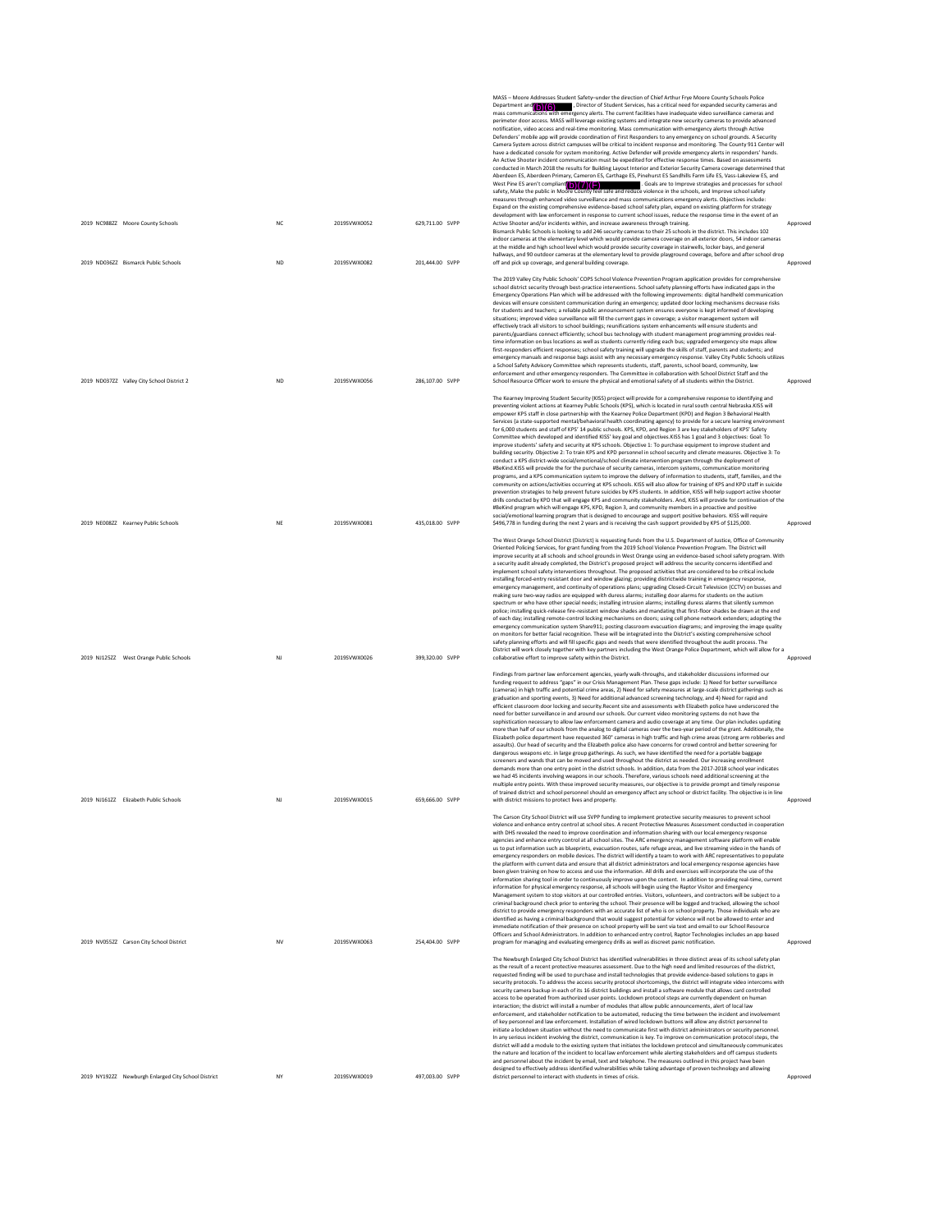|                                                     |           |              |                 | MASS - Moore Addresses Student Safety-under the direction of Chief Arthur Frye Moore County Schools Police<br>Department and (b) (6) Firector of Student Services, has a critical need for expanded security cameras and<br>mass communications with emergency alerts. The current facilities have inadequate video surveillance cameras and<br>perimeter door access. MASS will leverage existing systems and integrate new security cameras to provide advanced<br>notification, video access and real-time monitoring. Mass communication with emergency alerts through Active<br>Defenders' mobile app will provide coordination of First Responders to any emergency on school grounds. A Security<br>Camera System across district campuses will be critical to incident response and monitoring. The County 911 Center will<br>have a dedicated console for system monitoring. Active Defender will provide emergency alerts in responders' hands.<br>An Active Shooter incident communication must be expedited for effective response times. Based on assessments<br>conducted in March 2018 the results for Building Layout Interior and Exterior Security Camera coverage determined that<br>Aberdeen ES, Aberdeen Primary, Cameron ES, Carthage ES, Pinehurst ES Sandhills Farm Life ES, Vass-Lakeview ES, and<br>West Pine ES aren't compliant $O((7)(F)$<br>safety, Make the public in Moore County feel safe and reduce violence in the schools, and Improve school safety<br>. Goals are to Improve strategies and processes for school<br>measures through enhanced video surveillance and mass communications emergency alerts. Objectives include:<br>Expand on the existing comprehensive evidence-based school safety plan, expand on existing platform for strategy<br>development with law enforcement in response to current school issues, reduce the response time in the event of an                                                                                                                                                                       |          |
|-----------------------------------------------------|-----------|--------------|-----------------|---------------------------------------------------------------------------------------------------------------------------------------------------------------------------------------------------------------------------------------------------------------------------------------------------------------------------------------------------------------------------------------------------------------------------------------------------------------------------------------------------------------------------------------------------------------------------------------------------------------------------------------------------------------------------------------------------------------------------------------------------------------------------------------------------------------------------------------------------------------------------------------------------------------------------------------------------------------------------------------------------------------------------------------------------------------------------------------------------------------------------------------------------------------------------------------------------------------------------------------------------------------------------------------------------------------------------------------------------------------------------------------------------------------------------------------------------------------------------------------------------------------------------------------------------------------------------------------------------------------------------------------------------------------------------------------------------------------------------------------------------------------------------------------------------------------------------------------------------------------------------------------------------------------------------------------------------------------------------------------------------------------------------------------------------------------------------------------|----------|
| 2019 NC9882Z Moore County Schools                   | NC        | 2019SVWX0052 | 629,711.00 SVPP | Active Shooter and/or incidents within, and increase awareness through training.<br>Bismarck Public Schools is looking to add 246 security cameras to their 25 schools in the district. This includes 102<br>indoor cameras at the elementary level which would provide camera coverage on all exterior doors, 54 indoor cameras<br>at the middle and high school level which would provide security coverage in stairwells, locker bays, and general<br>hallways, and 90 outdoor cameras at the elementary level to provide playground coverage, before and after school drop                                                                                                                                                                                                                                                                                                                                                                                                                                                                                                                                                                                                                                                                                                                                                                                                                                                                                                                                                                                                                                                                                                                                                                                                                                                                                                                                                                                                                                                                                                        | Approved |
| 2019 ND036ZZ Bismarck Public Schools                | <b>ND</b> | 2019SVWX0082 | 201,444.00 SVPP | off and pick up coverage, and general building coverage.<br>The 2019 Valley City Public Schools' COPS School Violence Prevention Program application provides for comprehensive<br>school district security through best-practice interventions. School safety planning efforts have indicated gaps in the<br>Emergency Operations Plan which will be addressed with the following improvements: digital handheld communication<br>devices will ensure consistent communication during an emergency; updated door locking mechanisms decrease risks<br>for students and teachers; a reliable public announcement system ensures everyone is kept informed of developing<br>situations; improved video surveillance will fill the current gaps in coverage; a visitor management system will<br>effectively track all visitors to school buildings; reunifications system enhancements will ensure students and<br>parents/guardians connect efficiently; school bus technology with student management programming provides real-<br>time information on bus locations as well as students currently riding each bus; upgraded emergency site maps allow<br>first-responders efficient responses; school safety training will upgrade the skills of staff, parents and students; and<br>emergency manuals and response bags assist with any necessary emergency response. Valley City Public Schools utilizes<br>a School Safety Advisory Committee which represents students, staff, parents, school board, community, law<br>enforcement and other emergency responders. The Committee in collaboration with School District Staff and the                                                                                                                                                                                                                                                                                                                                                                                                                                          | Approved |
| 2019 ND037ZZ Valley City School District 2          | <b>ND</b> | 2019SVWX0056 | 286.107.00 SVPP | School Resource Officer work to ensure the physical and emotional safety of all students within the District.<br>The Kearney Improving Student Security (KISS) project will provide for a comprehensive response to identifying and<br>preventing violent actions at Kearney Public Schools (KPS), which is located in rural south central Nebraska.KISS will<br>empower KPS staff in close partnership with the Kearney Police Department (KPD) and Region 3 Behavioral Health<br>Services (a state-supported mental/behavioral health coordinating agency) to provide for a secure learning environment<br>for 6,000 students and staff of KPS' 14 public schools. KPS, KPD, and Region 3 are key stakeholders of KPS' Safety<br>Committee which developed and identified KISS' key goal and objectives.KISS has 1 goal and 3 objectives: Goal: To<br>improve students' safety and security at KPS schools. Objective 1: To purchase equipment to improve student and<br>building security. Objective 2: To train KPS and KPD personnel in school security and climate measures. Objective 3: To<br>conduct a KPS district-wide social/emotional/school climate intervention program through the deployment of<br>#BeKind.KISS will provide the for the purchase of security cameras, intercom systems, communication monitoring<br>programs, and a KPS communication system to improve the delivery of information to students, staff, families, and the<br>community on actions/activities occurring at KPS schools. KISS will also allow for training of KPS and KPD staff in suicide<br>prevention strategies to help prevent future suicides by KPS students. In addition, KISS will help support active shooter<br>drills conducted by KPD that will engage KPS and community stakeholders. And, KISS will provide for continuation of the<br>#BeKind program which will engage KPS, KPD, Region 3, and community members in a proactive and positive<br>social/emotional learning program that is designed to encourage and support positive behaviors. KISS will require    | Approved |
| 2019 NE008ZZ Kearney Public Schools                 | NE        | 2019SVWX0081 | 435,018.00 SVPP | \$496,778 in funding during the next 2 years and is receiving the cash support provided by KPS of \$125,000.<br>The West Orange School District (District) is requesting funds from the U.S. Department of Justice, Office of Community<br>Oriented Policing Services, for grant funding from the 2019 School Violence Prevention Program. The District will<br>improve security at all schools and school grounds in West Orange using an evidence-based school safety program. With<br>a security audit already completed, the District's proposed project will address the security concerns identified and<br>implement school safety interventions throughout. The proposed activities that are considered to be critical include<br>installing forced-entry resistant door and window glazing; providing districtwide training in emergency response,<br>emergency management, and continuity of operations plans; upgrading Closed-Circuit Television (CCTV) on busses and<br>making sure two-way radios are equipped with duress alarms; installing door alarms for students on the autism<br>spectrum or who have other special needs; installing intrusion alarms; installing duress alarms that silently summon<br>police; installing quick-release fire-resistant window shades and mandating that first-floor shades be drawn at the end<br>of each day; installing remote-control locking mechanisms on doors; using cell phone network extenders; adopting the<br>emergency communication system Share911; posting classroom evacuation diagrams; and improving the image quality<br>on monitors for better facial recognition. These will be integrated into the District's existing comprehensive school<br>safety planning efforts and will fill specific gaps and needs that were identified throughout the audit process. The<br>District will work closely together with key partners including the West Orange Police Department, which will allow for a                                                                                                        | Approved |
| 2019 NJ125ZZ West Orange Public Schools             | NJ        | 2019SVWX0026 | 399.320.00 SVPP | collaborative effort to improve safety within the District.<br>Findings from partner law enforcement agencies, yearly walk-throughs, and stakeholder discussions informed our<br>funding request to address "gaps" in our Crisis Management Plan. These gaps include: 1) Need for better surveillance<br>(cameras) in high traffic and potential crime areas, 2) Need for safety measures at large-scale district gatherings such as<br>graduation and sporting events. 3) Need for additional advanced screening technology, and 4) Need for rapid and<br>efficient classroom door locking and security.Recent site and assessments with Elizabeth police have underscored the<br>need for better surveillance in and around our schools. Our current video monitoring systems do not have the<br>sophistication necessary to allow law enforcement camera and audio coverage at any time. Our plan includes updating<br>more than half of our schools from the analog to digital cameras over the two-year period of the grant. Additionally, the<br>Elizabeth police department have requested 360° cameras in high traffic and high crime areas (strong arm robberies and<br>assaults). Our head of security and the Elizabeth police also have concerns for crowd control and better screening for<br>dangerous weapons etc. in large group gatherings. As such, we have identified the need for a portable baggage<br>screeners and wands that can be moved and used throughout the district as needed. Our increasing enrollment<br>demands more than one entry point in the district schools. In addition, data from the 2017-2018 school year indicates<br>we had 45 incidents involving weapons in our schools. Therefore, various schools need additional screening at the<br>multiple entry points. With these improved security measures, our objective is to provide prompt and timely response<br>of trained district and school personnel should an emergency affect any school or district facility. The objective is in line                                        | Approved |
| 2019 NJ161ZZ Elizabeth Public Schools               | NI        | 2019SVWX0015 | 659,666.00 SVPP | with district missions to protect lives and property.<br>The Carson City School District will use SVPP funding to implement protective security measures to prevent school<br>violence and enhance entry control at school sites. A recent Protective Measures Assessment conducted in cooperation<br>with DHS revealed the need to improve coordination and information sharing with our local emergency response<br>agencies and enhance entry control at all school sites. The ARC emergency management software platform will enable<br>us to put information such as blueprints, evacuation routes, safe refuge areas, and live streaming video in the hands of<br>emergency responders on mobile devices. The district will identify a team to work with ARC representatives to populate<br>the platform with current data and ensure that all district administrators and local emergency response agencies have<br>been given training on how to access and use the information. All drills and exercises will incorporate the use of the<br>information sharing tool in order to continuously improve upon the content. In addition to providing real-time, current<br>information for physical emergency response, all schools will begin using the Raptor Visitor and Emergency<br>Management system to stop visitors at our controlled entries. Visitors, volunteers, and contractors will be subject to a<br>criminal background check prior to entering the school. Their presence will be logged and tracked, allowing the school<br>district to provide emergency responders with an accurate list of who is on school property. Those individuals who are<br>identified as having a criminal background that would suggest potential for violence will not be allowed to enter and<br>immediate notification of their presence on school property will be sent via text and email to our School Resource                                                                                                                                                             | Approved |
| 2019 NV055ZZ Carson City School District            | <b>NV</b> | 2019SVWX0063 | 254,404.00 SVPP | Officers and School Administrators. In addition to enhanced entry control, Raptor Technologies includes an app based<br>program for managing and evaluating emergency drills as well as discreet panic notification.<br>The Newburgh Enlarged City School District has identified vulnerabilities in three distinct areas of its school safety plan<br>as the result of a recent protective measures assessment. Due to the high need and limited resources of the district,<br>requested finding will be used to purchase and install technologies that provide evidence-based solutions to gaps in<br>security protocols. To address the access security protocol shortcomings, the district will integrate video intercoms with<br>security camera backup in each of its 16 district buildings and install a software module that allows card controlled<br>access to be operated from authorized user points. Lockdown protocol steps are currently dependent on human<br>interaction; the district will install a number of modules that allow public announcements, alert of local law<br>enforcement, and stakeholder notification to be automated, reducing the time between the incident and involvement<br>of key personnel and law enforcement. Installation of wired lockdown buttons will allow any district personnel to<br>initiate a lockdown situation without the need to communicate first with district administrators or security personnel.<br>In any serious incident involving the district, communication is key. To improve on communication protocol steps, the<br>district will add a module to the existing system that initiates the lockdown protocol and simultaneously communicates<br>the nature and location of the incident to local law enforcement while alerting stakeholders and off campus students<br>and personnel about the incident by email, text and telephone. The measures outlined in this project have been<br>designed to effectively address identified vulnerabilities while taking advantage of proven technology and allowing | Approved |
| 2019 NY192ZZ Newburgh Enlarged City School District | NY        | 2019SVWX0019 | 497,003.00 SVPP | district personnel to interact with students in times of crisis.                                                                                                                                                                                                                                                                                                                                                                                                                                                                                                                                                                                                                                                                                                                                                                                                                                                                                                                                                                                                                                                                                                                                                                                                                                                                                                                                                                                                                                                                                                                                                                                                                                                                                                                                                                                                                                                                                                                                                                                                                      | Approved |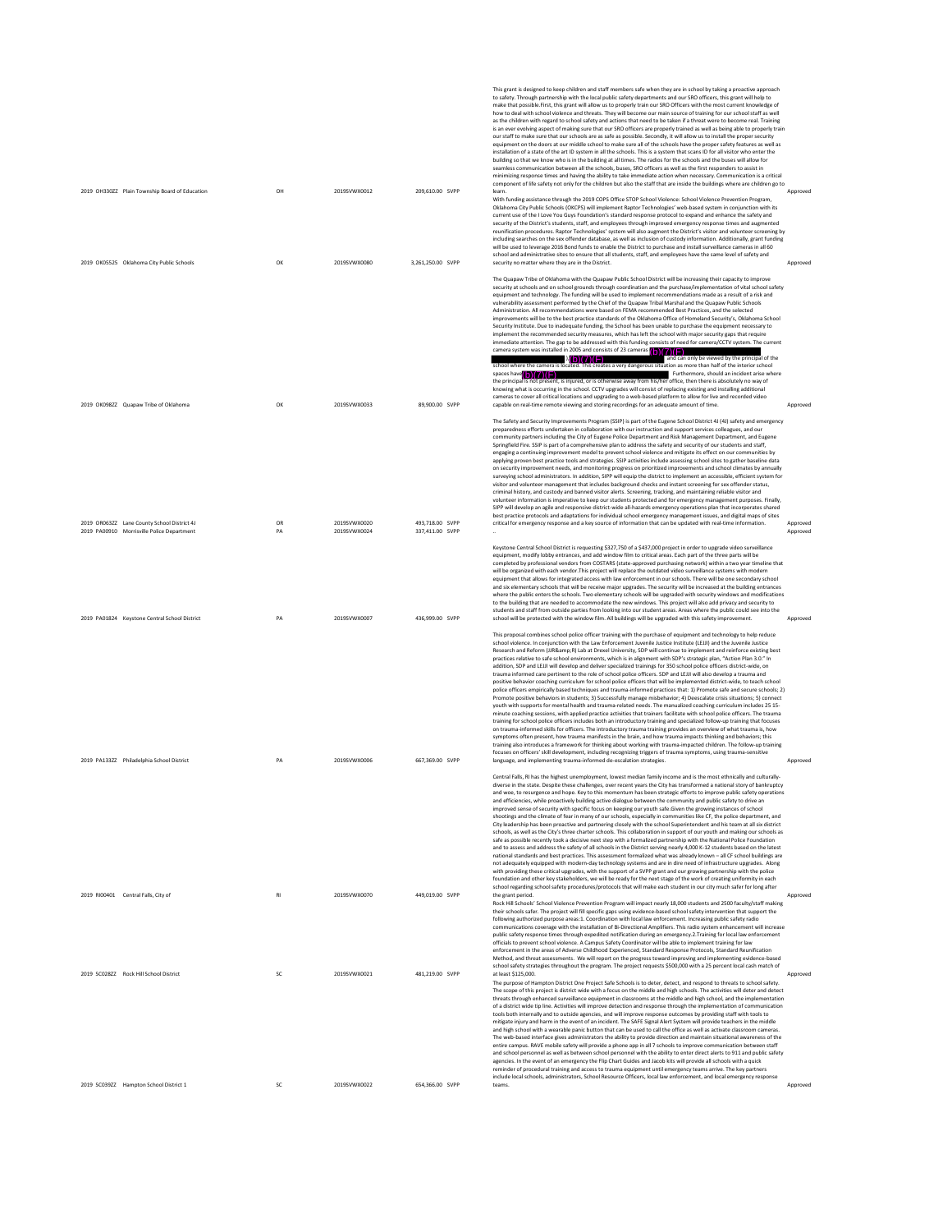|                                                                                             |          |                              |                                      | This grant is designed to keep children and staff members safe when they are in school by taking a proactive approach<br>to safety. Through partnership with the local public safety departments and our SRO officers, this grant will help to<br>make that possible.First, this grant will allow us to properly train our SRO Officers with the most current knowledge of<br>how to deal with school violence and threats. They will become our main source of training for our school staff as well<br>as the children with regard to school safety and actions that need to be taken if a threat were to become real. Training<br>is an ever evolving aspect of making sure that our SRO officers are properly trained as well as being able to properly train<br>our staff to make sure that our schools are as safe as possible. Secondly, it will allow us to install the proper security<br>equipment on the doors at our middle school to make sure all of the schools have the proper safety features as well as<br>installation of a state of the art ID system in all the schools. This is a system that scans ID for all visitor who enter the<br>building so that we know who is in the building at all times. The radios for the schools and the buses will allow for<br>seamless communication between all the schools, buses, SRO officers as well as the first responders to assist in<br>minimizing response times and having the ability to take immediate action when necessary. Communication is a critical<br>component of life safety not only for the children but also the staff that are inside the buildings where are children go to                                                                                                                                                                                                                                                                                                                                                                                                                                                      |                      |
|---------------------------------------------------------------------------------------------|----------|------------------------------|--------------------------------------|-----------------------------------------------------------------------------------------------------------------------------------------------------------------------------------------------------------------------------------------------------------------------------------------------------------------------------------------------------------------------------------------------------------------------------------------------------------------------------------------------------------------------------------------------------------------------------------------------------------------------------------------------------------------------------------------------------------------------------------------------------------------------------------------------------------------------------------------------------------------------------------------------------------------------------------------------------------------------------------------------------------------------------------------------------------------------------------------------------------------------------------------------------------------------------------------------------------------------------------------------------------------------------------------------------------------------------------------------------------------------------------------------------------------------------------------------------------------------------------------------------------------------------------------------------------------------------------------------------------------------------------------------------------------------------------------------------------------------------------------------------------------------------------------------------------------------------------------------------------------------------------------------------------------------------------------------------------------------------------------------------------------------------------------------------------------------------------------------------------------------|----------------------|
| 2019 OH330ZZ Plain Township Board of Education<br>2019 OK05525 Oklahoma City Public Schools | OH<br>OK | 2019SVWX0012<br>2019SVWX0080 | 209,610.00 SVPP<br>3.261.250.00 SVPP | learn.<br>With funding assistance through the 2019 COPS Office STOP School Violence: School Violence Prevention Program,<br>Oklahoma City Public Schools (OKCPS) will implement Raptor Technologies' web-based system in conjunction with its<br>current use of the I Love You Guys Foundation's standard response protocol to expand and enhance the safety and<br>security of the District's students, staff, and employees through improved emergency response times and augmented<br>reunification procedures. Raptor Technologies' system will also augment the District's visitor and volunteer screening by<br>including searches on the sex offender database, as well as inclusion of custody information. Additionally, grant funding<br>will be used to leverage 2016 Bond funds to enable the District to purchase and install surveillance cameras in all 60<br>school and administrative sites to ensure that all students, staff, and employees have the same level of safety and<br>security no matter where they are in the District.                                                                                                                                                                                                                                                                                                                                                                                                                                                                                                                                                                                                                                                                                                                                                                                                                                                                                                                                                                                                                                                                | Approved<br>Approved |
|                                                                                             |          |                              |                                      | The Quapaw Tribe of Oklahoma with the Quapaw Public School District will be increasing their capacity to improve<br>security at schools and on school grounds through coordination and the purchase/implementation of vital school safety<br>equipment and technology. The funding will be used to implement recommendations made as a result of a risk and<br>vulnerability assessment performed by the Chief of the Quapaw Tribal Marshal and the Quapaw Public Schools<br>Administration. All recommendations were based on FEMA recommended Best Practices, and the selected<br>improvements will be to the best practice standards of the Oklahoma Office of Homeland Security's, Oklahoma School<br>Security Institute. Due to inadequate funding, the School has been unable to purchase the equipment necessary to<br>implement the recommended security measures, which has left the school with major security gaps that require<br>immediate attention. The gap to be addressed with this funding consists of need for camera/CCTV system. The current<br>camera system was installed in 2005 and consists of 23 cameras $\binom{1}{0}\binom{7}{1}$<br>and can only be viewed by the principal of the<br>h(b)(7)(F)<br>is creates a very dangerous situation as more than half of the interior school<br>chool where the camera is loc<br>spaces have of the spaces have<br>Furthermore, should an incident arise where<br>the principal is not present, is injured, or is otherwise away from his/her office, then there is absolutely no way of<br>knowing what is occurring in the school. CCTV upgrades will consist of replacing existing and installing additional                                                                                                                                                                                                                                                                                                                                                                                                                                   |                      |
| 2019 OK098ZZ Quapaw Tribe of Oklahoma                                                       | OK       | 2019SVWX0033                 | 89,900.00 SVPP                       | cameras to cover all critical locations and upgrading to a web-based platform to allow for live and recorded video<br>capable on real-time remote viewing and storing recordings for an adequate amount of time.                                                                                                                                                                                                                                                                                                                                                                                                                                                                                                                                                                                                                                                                                                                                                                                                                                                                                                                                                                                                                                                                                                                                                                                                                                                                                                                                                                                                                                                                                                                                                                                                                                                                                                                                                                                                                                                                                                      | Approved             |
|                                                                                             |          |                              |                                      | The Safety and Security Improvements Program (SSIP) is part of the Eugene School District 4J (4J) safety and emergency<br>preparedness efforts undertaken in collaboration with our instruction and support services colleagues, and our<br>community partners including the City of Eugene Police Department and Risk Management Department, and Eugene<br>Springfield Fire. SSIP is part of a comprehensive plan to address the safety and security of our students and staff,<br>engaging a continuing improvement model to prevent school violence and mitigate its effect on our communities by<br>applying proven best practice tools and strategies. SSIP activities include assessing school sites to gather baseline data<br>on security improvement needs, and monitoring progress on prioritized improvements and school climates by annually<br>surveying school administrators. In addition, SIPP will equip the district to implement an accessible, efficient system for<br>visitor and volunteer management that includes background checks and instant screening for sex offender status,<br>criminal history, and custody and banned visitor alerts. Screening, tracking, and maintaining reliable visitor and<br>volunteer information is imperative to keep our students protected and for emergency management purposes. Finally,<br>SIPP will develop an agile and responsive district-wide all-hazards emergency operations plan that incorporates shared<br>best practice protocols and adaptations for individual school emergency management issues, and digital maps of sites                                                                                                                                                                                                                                                                                                                                                                                                                                                                                                              |                      |
| 2019 OR063ZZ Lane County School District 4J<br>2019 PA00910 Morrisville Police Department   | OR<br>PA | 2019SVWX0020<br>2019SVWX0024 | 493.718.00 SVPP<br>337,411.00 SVPP   | critical for emergency response and a key source of information that can be updated with real-time information.                                                                                                                                                                                                                                                                                                                                                                                                                                                                                                                                                                                                                                                                                                                                                                                                                                                                                                                                                                                                                                                                                                                                                                                                                                                                                                                                                                                                                                                                                                                                                                                                                                                                                                                                                                                                                                                                                                                                                                                                       | Approved<br>Approved |
|                                                                                             |          |                              |                                      | Keystone Central School District is requesting \$327,750 of a \$437,000 project in order to upgrade video surveillance<br>equipment, modify lobby entrances, and add window film to critical areas. Each part of the three parts will be<br>completed by professional vendors from COSTARS (state-approved purchasing network) within a two year timeline that<br>will be organized with each vendor. This project will replace the outdated video surveillance systems with modern<br>equipment that allows for integrated access with law enforcement in our schools. There will be one secondary school<br>and six elementary schools that will be receive major upgrades. The security will be increased at the building entrances<br>where the public enters the schools. Two elementary schools will be upgraded with security windows and modifications<br>to the building that are needed to accommodate the new windows. This project will also add privacy and security to<br>students and staff from outside parties from looking into our student areas. Areas where the public could see into the                                                                                                                                                                                                                                                                                                                                                                                                                                                                                                                                                                                                                                                                                                                                                                                                                                                                                                                                                                                                        |                      |
| 2019 PA01824 Keystone Central School District                                               | PA       | 2019SVWX0007                 | 436,999.00 SVPP                      | school will be protected with the window film. All buildings will be upgraded with this safety improvement.<br>This proposal combines school police officer training with the purchase of equipment and technology to help reduce<br>school violence. In conjunction with the Law Enforcement Juvenile Justice Institute (LEJJI) and the Juvenile Justice<br>Research and Reform (JJR&R) Lab at Drexel University, SDP will continue to implement and reinforce existing best<br>practices relative to safe school environments, which is in alignment with SDP's strategic plan, "Action Plan 3.0." In<br>addition, SDP and LEJJI will develop and deliver specialized trainings for 350 school police officers district-wide, on<br>trauma informed care pertinent to the role of school police officers. SDP and LEJJI will also develop a trauma and<br>positive behavior coaching curriculum for school police officers that will be implemented district-wide, to teach school<br>police officers empirically based techniques and trauma-informed practices that: 1) Promote safe and secure schools: 2)<br>Promote positive behaviors in students; 3) Successfully manage misbehavior; 4) Deescalate crisis situations; 5) connect<br>youth with supports for mental health and trauma-related needs. The manualized coaching curriculum includes 25 15-<br>minute coaching sessions, with applied practice activities that trainers facilitate with school police officers. The trauma<br>training for school police officers includes both an introductory training and specialized follow-up training that focuses<br>on trauma-informed skills for officers. The introductory trauma training provides an overview of what trauma is, how<br>symptoms often present, how trauma manifests in the brain, and how trauma impacts thinking and behaviors; this<br>training also introduces a framework for thinking about working with trauma-impacted children. The follow-up training<br>focuses on officers' skill development, including recognizing triggers of trauma symptoms, using trauma-sensitive | Approved             |
| 2019 PA133ZZ Philadelphia School District                                                   | PA       | 2019SVWX0006                 | 667,369.00 SVPP                      | language, and implementing trauma-informed de-escalation strategies.<br>Central Falls, RI has the highest unemployment, lowest median family income and is the most ethnically and culturally<br>diverse in the state. Despite these challenges, over recent years the City has transformed a national story of bankruptcy<br>and woe, to resurgence and hope. Key to this momentum has been strategic efforts to improve public safety operations<br>and efficiencies, while proactively building active dialogue between the community and public safety to drive an<br>improved sense of security with specific focus on keeping our youth safe.Given the growing instances of school<br>shootings and the climate of fear in many of our schools, especially in communities like CF, the police department, and<br>City leadership has been proactive and partnering closely with the school Superintendent and his team at all six district<br>schools, as well as the City's three charter schools. This collaboration in support of our youth and making our schools as<br>safe as possible recently took a decisive next step with a formalized partnership with the National Police Foundation<br>and to assess and address the safety of all schools in the District serving nearly 4,000 K-12 students based on the latest<br>national standards and best practices. This assessment formalized what was already known - all CF school buildings are<br>not adequately equipped with modern-day technology systems and are in dire need of infrastructure upgrades. Along<br>with providing these critical upgrades, with the support of a SVPP grant and our growing partnership with the police<br>foundation and other key stakeholders, we will be ready for the next stage of the work of creating uniformity in each                                                                                                                                                                                                                                                                                 | Approved             |
| 2019 RI00401 Central Falls, City of                                                         | R1       | 2019SVWX0070                 | 449.019.00 SVPP                      | school regarding school safety procedures/protocols that will make each student in our city much safer for long after<br>the grant period.<br>Rock Hill Schools' School Violence Prevention Program will impact nearly 18,000 students and 2500 faculty/staff making<br>their schools safer. The project will fill specific gaps using evidence-based school safety intervention that support the<br>following authorized purpose areas:1. Coordination with local law enforcement. Increasing public safety radio<br>communications coverage with the installation of Bi-Directional Amplifiers. This radio system enhancement will increase<br>public safety response times through expedited notification during an emergency.2.Training for local law enforcement<br>officials to prevent school violence. A Campus Safety Coordinator will be able to implement training for law<br>enforcement in the areas of Adverse Childhood Experienced, Standard Response Protocols, Standard Reunification<br>Method, and threat assessments. We will report on the progress toward improving and implementing evidence-based                                                                                                                                                                                                                                                                                                                                                                                                                                                                                                                                                                                                                                                                                                                                                                                                                                                                                                                                                                                            | Approved             |
| 2019 SC02827 Rock Hill School District                                                      | SC       | 2019SVWX0021                 | 481.219.00 SVPP                      | school safety strategies throughout the program. The project requests \$500,000 with a 25 percent local cash match of<br>at least \$125,000.<br>The purpose of Hampton District One Project Safe Schools is to deter, detect, and respond to threats to school safety.<br>The scope of this project is district wide with a focus on the middle and high schools. The activities will deter and detect<br>threats through enhanced surveillance equipment in classrooms at the middle and high school, and the implementation<br>of a district wide tip line. Activities will improve detection and response through the implementation of communication<br>tools both internally and to outside agencies, and will improve response outcomes by providing staff with tools to<br>mitigate injury and harm in the event of an incident. The SAFE Signal Alert System will provide teachers in the middle<br>and high school with a wearable panic button that can be used to call the office as well as activate classroom cameras.<br>The web-based interface gives administrators the ability to provide direction and maintain situational awareness of the<br>entire campus. RAVE mobile safety will provide a phone app in all 7 schools to improve communication between staff<br>and school personnel as well as between school personnel with the ability to enter direct alerts to 911 and public safety<br>agencies. In the event of an emergency the Flip Chart Guides and Jacob kits will provide all schools with a quick<br>reminder of procedural training and access to trauma equipment until emergency teams arrive. The key partners                                                                                                                                                                                                                                                                                                                                                                                                                                                               | Approved             |
| 2019 SC039ZZ Hampton School District 1                                                      | SC       | 2019SVWX0022                 | 654,366.00 SVPP                      | include local schools, administrators, School Resource Officers, local law enforcement, and local emergency response<br>teams.                                                                                                                                                                                                                                                                                                                                                                                                                                                                                                                                                                                                                                                                                                                                                                                                                                                                                                                                                                                                                                                                                                                                                                                                                                                                                                                                                                                                                                                                                                                                                                                                                                                                                                                                                                                                                                                                                                                                                                                        | Approved             |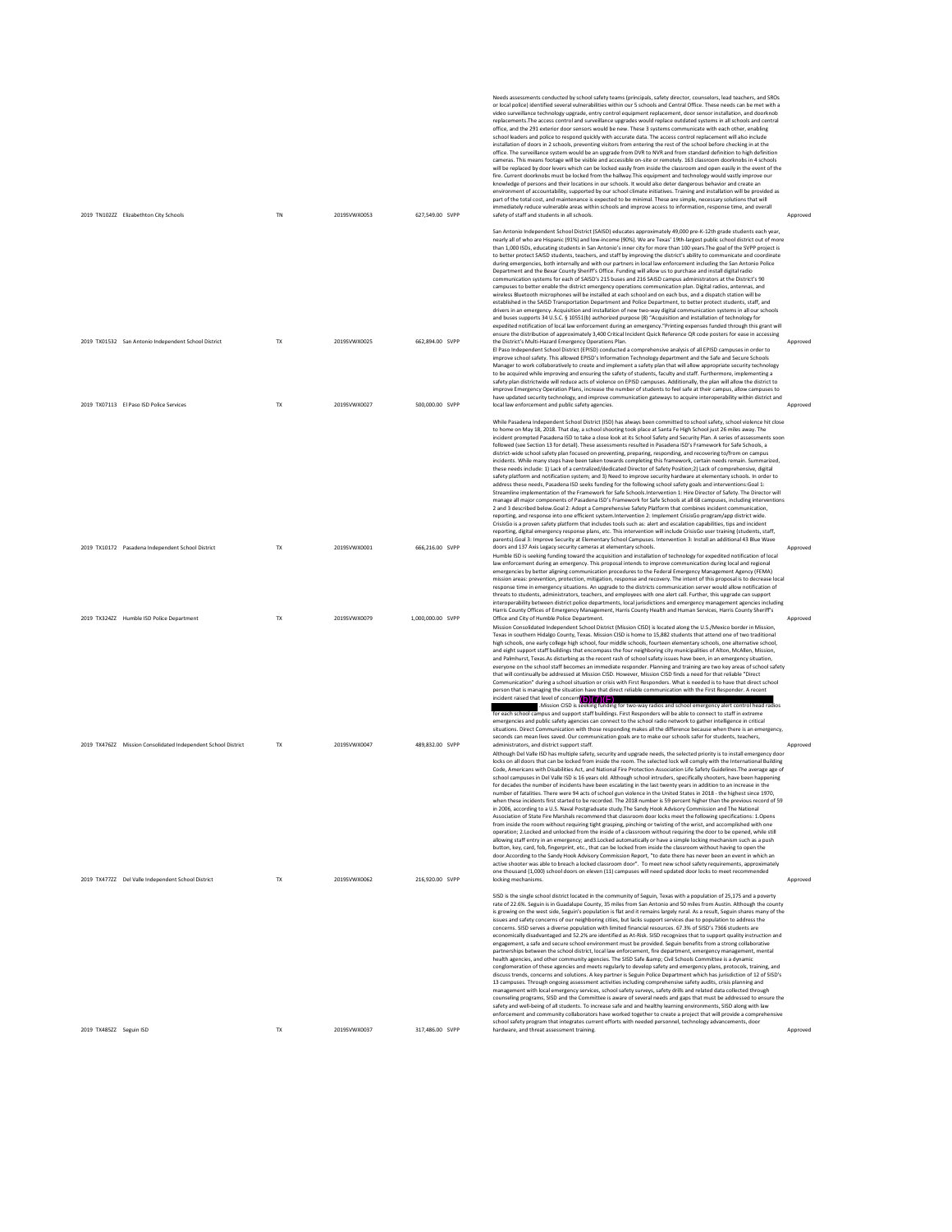|                         | 2019 TN102ZZ Elizabethton City Schools                                                           | <b>TN</b>              | 2019SVWX0053                 | 627,549.00 SVPP                    | Needs assessments conducted by school safety teams (principals, safety director, counselors, lead teachers, and SROs<br>or local police) identified several vulnerabilities within our 5 schools and Central Office. These needs can be met with a<br>video surveillance technology upgrade, entry control equipment replacement, door sensor installation. and doorknob<br>replacements. The access control and surveillance upgrades would replace outdated systems in all schools and central<br>office, and the 291 exterior door sensors would be new. These 3 systems communicate with each other, enabling<br>school leaders and police to respond quickly with accurate data. The access control replacement will also include<br>installation of doors in 2 schools, preventing visitors from entering the rest of the school before checking in at the<br>office. The surveillance system would be an upgrade from DVR to NVR and from standard definition to high definition<br>cameras. This means footage will be visible and accessible on-site or remotely. 163 classroom doorknobs in 4 schools<br>will be replaced by door levers which can be locked easily from inside the classroom and open easily in the event of the<br>fire. Current doorknobs must be locked from the hallway. This equipment and technology would vastly improve our<br>knowledge of persons and their locations in our schools. It would also deter dangerous behavior and create an<br>environment of accountability, supported by our school climate initiatives. Training and installation will be provided as<br>part of the total cost, and maintenance is expected to be minimal. These are simple, necessary solutions that will<br>immediately reduce vulnerable areas within schools and improve access to information, response time, and overall<br>safety of staff and students in all schools.                                                                                                                                                                                                                                      | Approved             |
|-------------------------|--------------------------------------------------------------------------------------------------|------------------------|------------------------------|------------------------------------|---------------------------------------------------------------------------------------------------------------------------------------------------------------------------------------------------------------------------------------------------------------------------------------------------------------------------------------------------------------------------------------------------------------------------------------------------------------------------------------------------------------------------------------------------------------------------------------------------------------------------------------------------------------------------------------------------------------------------------------------------------------------------------------------------------------------------------------------------------------------------------------------------------------------------------------------------------------------------------------------------------------------------------------------------------------------------------------------------------------------------------------------------------------------------------------------------------------------------------------------------------------------------------------------------------------------------------------------------------------------------------------------------------------------------------------------------------------------------------------------------------------------------------------------------------------------------------------------------------------------------------------------------------------------------------------------------------------------------------------------------------------------------------------------------------------------------------------------------------------------------------------------------------------------------------------------------------------------------------------------------------------------------------------------------------------------------------------------------------------------------------------------|----------------------|
|                         |                                                                                                  |                        |                              |                                    | San Antonio Independent School District (SAISD) educates approximately 49,000 pre-K-12th grade students each year,<br>nearly all of who are Hispanic (91%) and low-income (90%). We are Texas' 19th-largest public school district out of more<br>than 1,000 ISDs, educating students in San Antonio's inner city for more than 100 years. The goal of the SVPP project is<br>to better protect SAISD students, teachers, and staff by improving the district's ability to communicate and coordinate<br>during emergencies, both internally and with our partners in local law enforcement including the San Antonio Police<br>Department and the Bexar County Sheriff's Office. Funding will allow us to purchase and install digital radio<br>communication systems for each of SAISD's 215 buses and 216 SAISD campus administrators at the District's 90<br>campuses to better enable the district emergency operations communication plan. Digital radios, antennas, and<br>wireless Bluetooth microphones will be installed at each school and on each bus, and a dispatch station will be<br>established in the SAISD Transportation Department and Police Department, to better protect students, staff, and<br>drivers in an emergency. Acquisition and installation of new two-way digital communication systems in all our schools<br>and buses supports 34 U.S.C. § 10551(b) authorized purpose (8) "Acquisition and installation of technology for<br>expedited notification of local law enforcement during an emergency."Printing expenses funded through this grant will<br>ensure the distribution of approximately 3,400 Critical Incident Quick Reference QR code posters for ease in accessing                                                                                                                                                                                                                                                                                                                                                                                                                         |                      |
|                         | 2019 TX01532 San Antonio Independent School District<br>2019 TX07113 El Paso ISD Police Services | <b>TX</b><br><b>TX</b> | 2019SVWX0025<br>2019SVWX0027 | 662.894.00 SVPP<br>500,000.00 SVPP | the District's Multi-Hazard Emergency Operations Plan.<br>El Paso Independent School District (EPISD) conducted a comprehensive analysis of all EPISD campuses in order to<br>improve school safety. This allowed EPISD's Information Technology department and the Safe and Secure Schools<br>Manager to work collaboratively to create and implement a safety plan that will allow appropriate security technology<br>to be acquired while improving and ensuring the safety of students, faculty and staff. Furthermore, implementing a<br>safety plan districtwide will reduce acts of violence on EPISD campuses. Additionally, the plan will allow the district to<br>improve Emergency Operation Plans, increase the number of students to feel safe at their campus, allow campuses to<br>have updated security technology, and improve communication gateways to acquire interoperability within district and<br>local law enforcement and public safety agencies.                                                                                                                                                                                                                                                                                                                                                                                                                                                                                                                                                                                                                                                                                                                                                                                                                                                                                                                                                                                                                                                                                                                                                                 | Approved<br>Approved |
|                         |                                                                                                  |                        |                              |                                    | While Pasadena Independent School District (ISD) has always been committed to school safety, school violence hit close<br>to home on May 18, 2018. That day, a school shooting took place at Santa Fe High School just 26 miles away. The<br>incident prompted Pasadena ISD to take a close look at its School Safety and Security Plan. A series of assessments soon<br>followed (see Section 13 for detail). These assessments resulted in Pasadena ISD's Framework for Safe Schools, a<br>district-wide school safety plan focused on preventing, preparing, responding, and recovering to/from on campus<br>incidents. While many steps have been taken towards completing this framework, certain needs remain. Summarized,<br>these needs include: 1) Lack of a centralized/dedicated Director of Safety Position;2) Lack of comprehensive, digital<br>safety platform and notification system; and 3) Need to improve security hardware at elementary schools. In order to<br>address these needs, Pasadena ISD seeks funding for the following school safety goals and interventions:Goal 1:<br>Streamline implementation of the Framework for Safe Schools.Intervention 1: Hire Director of Safety. The Director will<br>manage all major components of Pasadena ISD's Framework for Safe Schools at all 68 campuses, including interventions<br>2 and 3 described below.Goal 2: Adopt a Comprehensive Safety Platform that combines incident communication,<br>reporting, and response into one efficient system.Intervention 2: Implement CrisisGo program/app district wide.<br>CrisisGo is a proven safety platform that includes tools such as: alert and escalation capabilities, tips and incident<br>reporting, digital emergency response plans, etc. This intervention will include CrisisGo user training (students, staff,                                                                                                                                                                                                                                                                                             |                      |
|                         | 2019 TX10172 Pasadena Independent School District                                                | <b>TX</b>              | 2019SVWX0001                 | 666.216.00 SVPP                    | parents). Goal 3: Improve Security at Elementary School Campuses. Intervention 3: Install an additional 43 Blue Wave<br>doors and 137 Axis Legacy security cameras at elementary schools.<br>Humble ISD is seeking funding toward the acquisition and installation of technology for expedited notification of local<br>law enforcement during an emergency. This proposal intends to improve communication during local and regional<br>emergencies by better aligning communication procedures to the Federal Emergency Management Agency (FEMA)<br>mission areas: prevention, protection, mitigation, response and recovery. The intent of this proposal is to decrease local<br>response time in emergency situations. An upgrade to the districts communication server would allow notification of<br>threats to students, administrators, teachers, and employees with one alert call. Further, this upgrade can support<br>interoperability between district police departments, local jurisdictions and emergency management agencies including                                                                                                                                                                                                                                                                                                                                                                                                                                                                                                                                                                                                                                                                                                                                                                                                                                                                                                                                                                                                                                                                                     | Approved             |
|                         | 2019 TX324ZZ Humble ISD Police Department                                                        | TX                     | 2019SVWX0079                 | 1,000,000.00 SVPP                  | Harris County Offices of Emergency Management, Harris County Health and Human Services, Harris County Sheriff's<br>Office and City of Humble Police Department.<br>Mission Consolidated Independent School District (Mission CISD) is located along the U.S./Mexico border in Mission,<br>Texas in southern Hidalgo County, Texas. Mission CISD is home to 15,882 students that attend one of two traditional<br>high schools, one early college high school, four middle schools, fourteen elementary schools, one alternative school,<br>and eight support staff buildings that encompass the four neighboring city municipalities of Alton, McAllen, Mission,<br>and Palmhurst, Texas.As disturbing as the recent rash of school safety issues have been, in an emergency situation,<br>everyone on the school staff becomes an immediate responder. Planning and training are two key areas of school safety<br>that will continually be addressed at Mission CISD. However, Mission CISD finds a need for that reliable "Direct<br>Communication" during a school situation or crisis with First Responders. What is needed is to have that direct school<br>person that is managing the situation have that direct reliable communication with the First Responder. A recent<br>incident raised that level of concern (b) (7) (F)<br>.Mission CISD is see<br>ng for two-way radios and school emergency alert control head radios<br>for each school campus and support staff buildings. First Responders will be able to connect to staff in extreme<br>emergencies and public safety agencies can connect to the school radio network to gather intelligence in critical<br>situations. Direct Communication with those responding makes all the difference because when there is an emergency.                                                                                                                                                                                                                                                                                                                                     | Approved             |
|                         | 2019 TX476ZZ Mission Consolidated Independent School District                                    | <b>TX</b>              | 2019SVWX0047                 | 489.832.00 SVPP                    | seconds can mean lives saved. Our communication goals are to make our schools safer for students, teachers,<br>administrators, and district support staff.<br>Although Del Valle ISD has multiple safety, security and upgrade needs, the selected priority is to install emergency door<br>locks on all doors that can be locked from inside the room. The selected lock will comply with the International Building<br>Code, Americans with Disabilities Act, and National Fire Protection Association Life Safety Guidelines. The average age of<br>school campuses in Del Valle ISD is 16 years old. Although school intruders, specifically shooters, have been happening<br>for decades the number of incidents have been escalating in the last twenty years in addition to an increase in th<br>number of fatalities. There were 94 acts of school gun violence in the United States in 2018 - the highest since 1970,<br>when these incidents first started to be recorded. The 2018 number is 59 percent higher than the previous record of 59<br>in 2006, according to a U.S. Naval Postgraduate study. The Sandy Hook Advisory Commission and The National<br>Association of State Fire Marshals recommend that classroom door locks meet the following specifications: 1.Opens<br>from inside the room without requiring tight grasping, pinching or twisting of the wrist, and accomplished with one<br>operation; 2.Locked and unlocked from the inside of a classroom without requiring the door to be opened, while still<br>allowing staff entry in an emergency; and3.Locked automatically or have a simple locking mechanism such as a push<br>button, key, card, fob, fingerprint, etc., that can be locked from inside the classroom without having to open the<br>door.According to the Sandy Hook Advisory Commission Report, "to date there has never been an event in which an<br>active shooter was able to breach a locked classroom door". To meet new school safety requirements, approximately<br>one thousand (1,000) school doors on eleven (11) campuses will need updated door locks to meet recommended | Approved             |
|                         | 2019 TX477ZZ Del Valle Independent School District                                               | TX                     | 2019SVWX0062                 | 216,920.00 SVPP                    | locking mechanisms<br>SISD is the single school district located in the community of Seguin, Texas with a population of 25,175 and a poverty<br>rate of 22.6%. Seguin is in Guadalupe County, 35 miles from San Antonio and 50 miles from Austin. Although the county<br>is growing on the west side, Seguin's population is flat and it remains largely rural. As a result, Seguin shares many of the<br>issues and safety concerns of our neighboring cities, but lacks support services due to population to address the<br>concerns. SISD serves a diverse population with limited financial resources. 67.3% of SISD's 7366 students are<br>economically disadvantaged and 52.2% are identified as At-Risk. SISD recognizes that to support quality instruction and<br>engagement, a safe and secure school environment must be provided. Seguin benefits from a strong collaborative<br>partnerships between the school district, local law enforcement, fire department, emergency management, mental<br>health agencies, and other community agencies. The SISD Safe & Civil Schools Committee is a dynamic<br>conglomeration of these agencies and meets regularly to develop safety and emergency plans, protocols, training, and<br>discuss trends, concerns and solutions. A key partner is Seguin Police Department which has jurisdiction of 12 of SISD's<br>13 campuses. Through ongoing assessment activities including comprehensive safety audits, crisis planning and<br>management with local emergency services, school safety surveys, safety drills and related data collected through<br>counseling programs, SISD and the Committee is aware of several needs and gaps that must be addressed to ensure the<br>safety and well-being of all students. To increase safe and and healthy learning environments, SISD along with law<br>enforcement and community collaborators have worked together to create a project that will provide a comprehensive                                                                                                                                                            | Approved             |
| 2019 TX485ZZ Seguin ISD |                                                                                                  | <b>TX</b>              | 2019SVWX0037                 | 317.486.00 SVPP                    | school safety program that integrates current efforts with needed personnel, technology advancements, door<br>hardware, and threat assessment training.                                                                                                                                                                                                                                                                                                                                                                                                                                                                                                                                                                                                                                                                                                                                                                                                                                                                                                                                                                                                                                                                                                                                                                                                                                                                                                                                                                                                                                                                                                                                                                                                                                                                                                                                                                                                                                                                                                                                                                                     | Approved             |